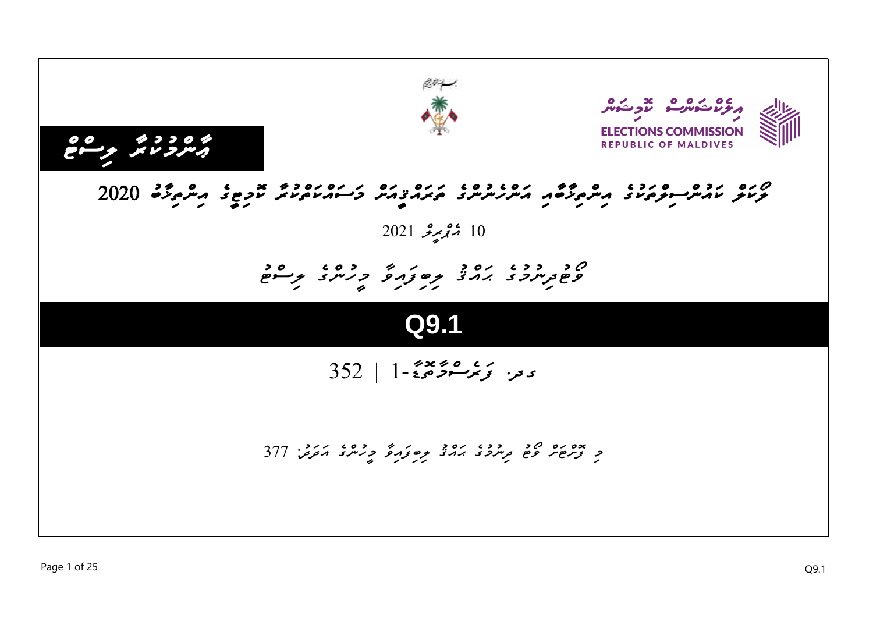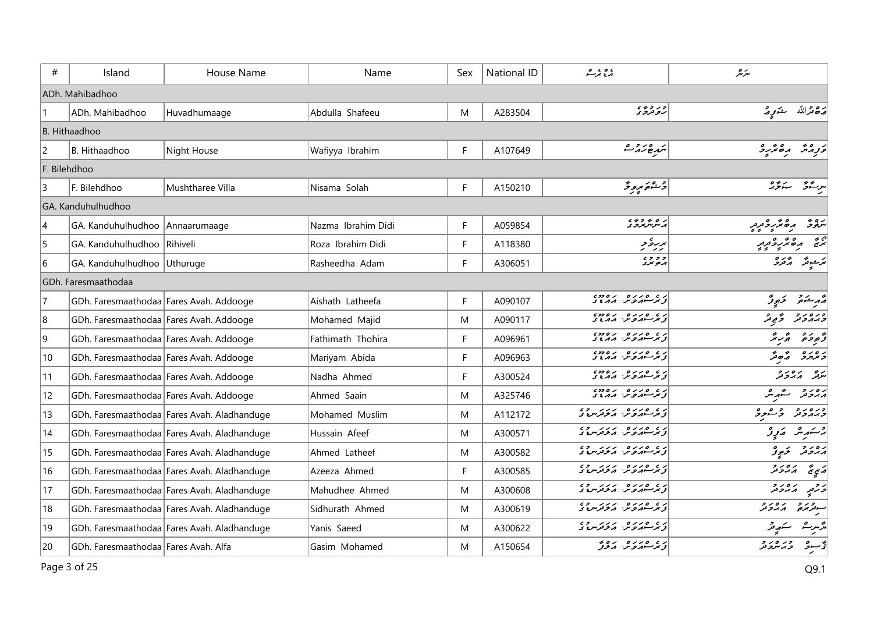| #              | Island                                  | House Name                                  | Name               | Sex         | National ID | ، ه ، ره<br>مر، مر                                        | ىئرىتر                                                                                                                                                                                                                           |
|----------------|-----------------------------------------|---------------------------------------------|--------------------|-------------|-------------|-----------------------------------------------------------|----------------------------------------------------------------------------------------------------------------------------------------------------------------------------------------------------------------------------------|
|                | ADh. Mahibadhoo                         |                                             |                    |             |             |                                                           |                                                                                                                                                                                                                                  |
|                | ADh. Mahibadhoo                         | Huvadhumaage                                | Abdulla Shafeeu    | M           | A283504     | و ر و د »<br>ره ترو د                                     | برە قراللە شەربە                                                                                                                                                                                                                 |
|                | B. Hithaadhoo                           |                                             |                    |             |             |                                                           |                                                                                                                                                                                                                                  |
|                | B. Hithaadhoo                           | Night House                                 | Wafiyya Ibrahim    | F.          | A107649     | سَمَدَ صَدَرْ بِ                                          | مەھترىرى<br>ءَ وِ ۾ پڙ                                                                                                                                                                                                           |
|                | F. Bilehdhoo                            |                                             |                    |             |             |                                                           |                                                                                                                                                                                                                                  |
| 3              | F. Bilehdhoo                            | Mushtharee Villa                            | Nisama Solah       | F           | A150210     | د مشهر مره مَرَّ                                          | إسريحيح<br>ىبە ئۇر                                                                                                                                                                                                               |
|                | GA. Kanduhulhudhoo                      |                                             |                    |             |             |                                                           |                                                                                                                                                                                                                                  |
| $\overline{A}$ | GA. Kanduhulhudhoo Annaarumaage         |                                             | Nazma Ibrahim Didi | F.          | A059854     | ر ه پر و پر ،<br>پر سرسر پر و ی                           | بترة وكالتربر ويربر                                                                                                                                                                                                              |
| 5              | GA. Kanduhulhudhoo Rihiveli             |                                             | Roza Ibrahim Didi  | F.          | A118380     | ىرىر <sub>خ</sub> ىر<br>ئرىر ئىر                          | م مستخرج مدة محمد المستخدم المستخدم المستخدم المستخدم المستخدم المستخدم المستخدم المستخدم المستخدم المستخدم ال<br>مستخدم المستخدم المستخدم المستخدم المستخدم المستخدم المستخدم المستخدم المستخدم المستخدم المستخدم المستخدم المس |
| 6              | GA. Kanduhulhudhoo Uthuruge             |                                             | Rasheedha Adam     | F.          | A306051     | د د د پر<br>پره مرد                                       | بمرسوش كمرتور                                                                                                                                                                                                                    |
|                | GDh. Faresmaathodaa                     |                                             |                    |             |             |                                                           |                                                                                                                                                                                                                                  |
| 7              | GDh. Faresmaathodaa Fares Avah. Addooge |                                             | Aishath Latheefa   | F           | A090107     | ג ۽ פגג פ. גם ברג<br>ציב ביותפיקי וממשיב                  | أأربحتم وكبوثر                                                                                                                                                                                                                   |
| 8              | GDh. Faresmaathodaa Fares Avah. Addooge |                                             | Mohamed Majid      | M           | A090117     | ג ג פגג פ ג פרבג<br>צ ג התפיעי וממש ב                     | ورەر د ئەر                                                                                                                                                                                                                       |
| 9              | GDh. Faresmaathodaa Fares Avah. Addooge |                                             | Fathimath Thohira  | $\mathsf F$ | A096961     | ג 2 סגגם גם ברב<br>ציב ייתפילי המשיב                      | وتجوحكم الجريم                                                                                                                                                                                                                   |
| 10             | GDh. Faresmaathodaa Fares Avah. Addooge |                                             | Mariyam Abida      | F.          | A096963     | ג ג פגג פ ג פרבג<br>צ <del>ג י מ</del> רעיר <b>הר</b> ג צ | ره ره شهر                                                                                                                                                                                                                        |
| 11             | GDh. Faresmaathodaa Fares Avah. Addooge |                                             | Nadha Ahmed        | F.          | A300524     | נים פנים - נסמכים<br>ציוניידוליטים - דומי                 | سرقر كدرور                                                                                                                                                                                                                       |
| 12             | GDh. Faresmaathodaa Fares Avah. Addooge |                                             | Ahmed Saain        | M           | A325746     | ג ג פגגם בסמג<br>צ ג התפיג ומג צ                          | رەرد شەر                                                                                                                                                                                                                         |
| 13             |                                         | GDh. Faresmaathodaa Fares Avah. Aladhanduge | Mohamed Muslim     | M           | A112172     | ر ، ٥٠٠٥ - رور د ،<br>زیر ۱۳۶۷ - مرکز س                   | ورەر دەرە                                                                                                                                                                                                                        |
| 14             |                                         | GDh. Faresmaathodaa Fares Avah. Aladhanduge | Hussain Afeef      | M           | A300571     | ر ، ق د ده. د کرکر د ،                                    | يز ڪمريش ڪي پي                                                                                                                                                                                                                   |
| 15             |                                         | GDh. Faresmaathodaa Fares Avah. Aladhanduge | Ahmed Latheef      | M           | A300582     | ر ، ٥٠٠٥ - رور د ،                                        | برەر ئەنجى                                                                                                                                                                                                                       |
| 16             |                                         | GDh. Faresmaathodaa Fares Avah. Aladhanduge | Azeeza Ahmed       | F           | A300585     | ر ، ق د ده. د کرکر د ،                                    | ړې پره دو                                                                                                                                                                                                                        |
| 17             |                                         | GDh. Faresmaathodaa Fares Avah. Aladhanduge | Mahudhee Ahmed     | M           | A300608     | ر ، ق د ره د د د .<br>ژ ټرلنده تر . ه څمرس د ،            | ورحمي كمصروح                                                                                                                                                                                                                     |
| 18             |                                         | GDh. Faresmaathodaa Fares Avah. Aladhanduge | Sidhurath Ahmed    | M           | A300619     | ر ، قراره برار د ،                                        | سنورد ده دور                                                                                                                                                                                                                     |
| 19             |                                         | GDh. Faresmaathodaa Fares Avah. Aladhanduge | Yanis Saeed        | M           | A300622     | ر ، ق د ده. د کرکر د ،                                    | نگرسرے کے <sub>می</sub> رنگر                                                                                                                                                                                                     |
| 20             | GDh. Faresmaathodaa Fares Avah. Alfa    |                                             | Gasim Mohamed      | M           | A150654     | ر ، ہے دے موثر<br>تو بڑے <i>م</i> کر بر مرفر              | و در ور در د<br>توسي <i>د در مرد</i> نر                                                                                                                                                                                          |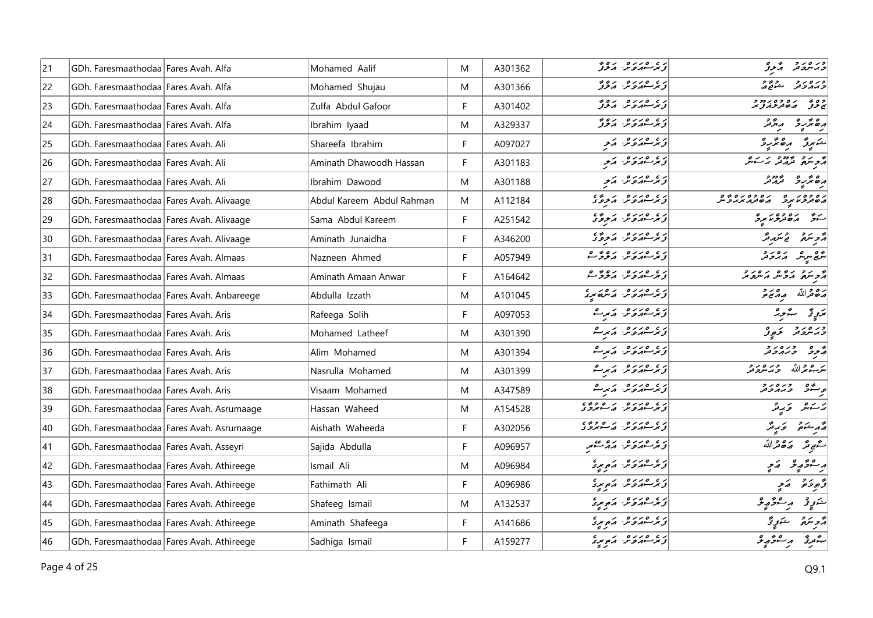| 21 | GDh. Faresmaathodaa Fares Avah. Alfa      |                                           | Mohamed Aalif             | M         | A301362 | د ، ق د ده.<br>و بر شهروش مروو                | ور ور و و                                                                |
|----|-------------------------------------------|-------------------------------------------|---------------------------|-----------|---------|-----------------------------------------------|--------------------------------------------------------------------------|
| 22 | GDh. Faresmaathodaa Fares Avah. Alfa      |                                           | Mohamed Shujau            | ${\sf M}$ | A301366 | ر ، ہ ر ر ہ<br>تو بر سهر بر بر بر بر تو تو    | وره رو دو و<br>د <i>بر د د</i> ر                                         |
| 23 | GDh. Faresmaathodaa Fares Avah. Alfa      |                                           | Zulfa Abdul Gafoor        | F         | A301402 | ر ، ہ ر ر ہ<br>تر بر شہری شہر امری            | ر ٥ ٥ ٥ ٥ روو و<br>پرڪ تر پخر<br>و ه و.<br>سخ محرقر                      |
| 24 | GDh. Faresmaathodaa Fares Avah. Alfa      |                                           | Ibrahim Iyaad             | M         | A329337 | ر ، ہ ر ر ہ<br>تر بر شہری شہر امری            | وە ئۆر ئەرگە                                                             |
| 25 | GDh. Faresmaathodaa Fares Avah. Ali       |                                           | Shareefa Ibrahim          | F         | A097027 | د ، قصر ده. د تر                              | ەرھەترىر <sup>ى</sup><br>ىشەمرۇگە<br>ئ                                   |
| 26 | GDh. Faresmaathodaa Fares Avah. Ali       |                                           | Aminath Dhawoodh Hassan   | F         | A301183 | تره مدره از بر                                | ה בי היה בי בית                                                          |
| 27 | GDh. Faresmaathodaa Fares Avah. Ali       |                                           | Ibrahim Dawood            | ${\sf M}$ | A301188 | تەرەمەرە بەر                                  | ת לייכב בתחיב<br>ת לייכב בתחיב                                           |
| 28 | GDh. Faresmaathodaa Fares Avah. Alivaage  |                                           | Abdul Kareem Abdul Rahman | M         | A112184 | ر ، ہ ر ر ہ .<br>تر بر سهره بر . هر بر بر ،   | ג ס כ ס ג ס ג ס כ ס ג ס ג ס<br>ג ס تر تر <i>ג ק ב ה ס تر ך א ג ג כ</i> س |
| 29 | GDh. Faresmaathodaa Fares Avah. Alivaage  |                                           | Sama Abdul Kareem         | F         | A251542 | ر ، ق دره .<br>توبر سهره ش . مرموی            | ر ده ده ده دره و                                                         |
| 30 | GDh. Faresmaathodaa Fares Avah. Alivaage  |                                           | Aminath Junaidha          | F         | A346200 | د ، ەررو. ئەيرە،                              | أأزج سكاته في تكرم تكر                                                   |
| 31 | GDh. Faresmaathodaa Fares Avah. Almaas    |                                           | Nazneen Ahmed             | F.        | A057949 | ر ، ەررە بەھ مە                               | شھ سرپر مہرویں                                                           |
| 32 | GDh. Faresmaathodaa Fares Avah. Almaas    |                                           | Aminath Amaan Anwar       | F         | A164642 | ر ، ەررە بەھ مە                               | أترجم أروه بره برج                                                       |
| 33 |                                           | GDh. Faresmaathodaa Fares Avah. Anbareege | Abdulla Izzath            | M         | A101045 | ر ، ه د ره . د ه د . ،                        | برە قراللە مەمى م                                                        |
| 34 | GDh. Faresmaathodaa Fares Avah. Aris      |                                           | Rafeega Solih             | F         | A097053 |                                               | ىرى ئىس ئىر                                                              |
| 35 | GDh. Faresmaathodaa Fares Avah. Aris      |                                           | Mohamed Latheef           | M         | A301390 | ر ، ەررە. كەيرىش                              | ور ور و در و                                                             |
| 36 | GDh. Faresmaathodaa Fares Avah. Aris      |                                           | Alim Mohamed              | M         | A301394 | تر پر سه پر پر پر پ                           | ومود ورەرد                                                               |
| 37 | GDh. Faresmaathodaa Fares Avah. Aris      |                                           | Nasrulla Mohamed          | M         | A301399 | ر ، ەررو. كەيرىش                              | بترجيحهالله<br>و بر ه بر و<br>تر بر بر تر                                |
| 38 | GDh. Faresmaathodaa Fares Avah. Aris      |                                           | Visaam Mohamed            | M         | A347589 | ر ، ەررو. كەيرے                               | و رە ر د<br>تر پروتر<br>ە سەڭىۋ                                          |
| 39 |                                           | GDh. Faresmaathodaa Fares Avah. Asrumaage | Hassan Waheed             | M         | A154528 | ر ، ق دره د ر و و د ،<br>زیگر شهروش هر شمرو د | ر کے مقام میں مقبر<br>ایمانسستان مقبر مقبر                               |
| 40 |                                           | GDh. Faresmaathodaa Fares Avah. Asrumaage | Aishath Waheeda           | F         | A302056 | ر ، ەررە پرە دە،<br>ۋىرسىمەدىن كەسىمەدى       | وكرمشكم وكرفر                                                            |
| 41 | GDh. Faresmaathodaa Fares Avah. Asseyri   |                                           | Sajida Abdulla            | F         | A096957 |                                               | ڪ <sub>ُ</sub> مبِ <i>مَرَّ مَدَّ</i> ڪُ مُدَاللَّهُ                     |
| 42 | GDh. Faresmaathodaa Fares Avah. Athireege |                                           | Ismail Ali                | M         | A096984 | ى ئەھەر ئەر ئەھ بىرى                          | أرجن ومحمد والمحمد                                                       |
| 43 | GDh. Faresmaathodaa Fares Avah. Athireege |                                           | Fathimath Ali             | F         | A096986 |                                               | وٌجوحَ حَرَمٍ                                                            |
| 44 | GDh. Faresmaathodaa Fares Avah. Athireege |                                           | Shafeeg Ismail            | M         | A132537 | ى مەرەبە.<br>ئەسرىسىدە ئەرەبىر                | خنويى وبالمحوي                                                           |
| 45 | GDh. Faresmaathodaa Fares Avah. Athireege |                                           | Aminath Shafeega          | F         | A141686 |                                               | اړموسره<br>ڪو <i>و</i> ِ گ                                               |
| 46 | GDh. Faresmaathodaa Fares Avah. Athireege |                                           | Sadhiga Ismail            | F         | A159277 |                                               | جنربة وعقوقه                                                             |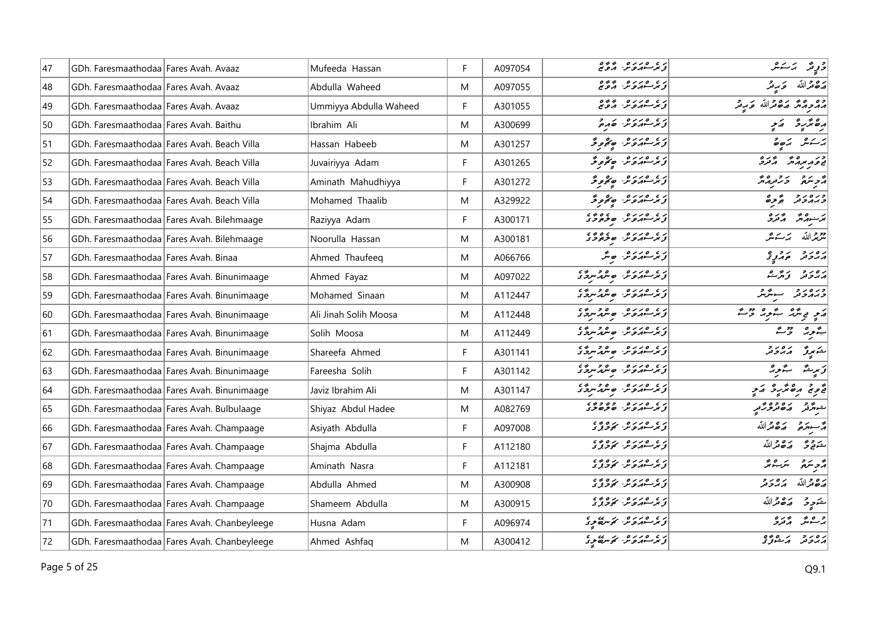| 47 | GDh. Faresmaathodaa Fares Avah. Avaaz  |                                              | Mufeeda Hassan         | F | A097054 |                                                         | 3 دٍ پَر کا کر کر کر                          |
|----|----------------------------------------|----------------------------------------------|------------------------|---|---------|---------------------------------------------------------|-----------------------------------------------|
| 48 | GDh. Faresmaathodaa Fares Avah. Avaaz  |                                              | Abdulla Waheed         | M | A097055 | ر ، ہ ر ر ہ ۔ ***<br>زیر سهروس مروبح                    | أرة قرالله كربر قر                            |
| 49 | GDh. Faresmaathodaa Fares Avah. Avaaz  |                                              | Ummiyya Abdulla Waheed | F | A301055 | ر ، ەررە                                                | وه وه ده دالله کرد                            |
| 50 | GDh. Faresmaathodaa Fares Avah. Baithu |                                              | Ibrahim Ali            | M | A300699 | ر ، قرار و .                                            | رە ئرىر ئىي                                   |
| 51 |                                        | GDh. Faresmaathodaa Fares Avah. Beach Villa  | Hassan Habeeb          | M | A301257 |                                                         | $202$ $222$                                   |
| 52 |                                        | GDh. Faresmaathodaa Fares Avah. Beach Villa  | Juvairiyya Adam        | F | A301265 | ر ، قراره . ھەج ئ                                       | בלת מחיר הבקב                                 |
| 53 |                                        | GDh. Faresmaathodaa Fares Avah. Beach Villa  | Aminath Mahudhiyya     | F | A301272 | ز ، ورزه . ھې د څ                                       | הכיתם בלטרת                                   |
| 54 |                                        | GDh. Faresmaathodaa Fares Avah. Beach Villa  | Mohamed Thaalib        | M | A329922 | ر ، ٥٠٠٥. چەرگە                                         | وره دو وه                                     |
| 55 |                                        | GDh. Faresmaathodaa Fares Avah. Bilehmaage   | Raziyya Adam           | F | A300171 | ر ، ه د ره په ، ه و ،<br>ز بر سهرو بر به موجود          | بر زیده بر دره<br>بر زیده بر در               |
| 56 |                                        | GDh. Faresmaathodaa Fares Avah. Bilehmaage   | Noorulla Hassan        | M | A300181 | ر ، ہ ر ر ہ<br>تو بر سهروس کے دوری                      | يريمرالله بركيمر                              |
| 57 | GDh. Faresmaathodaa Fares Avah. Binaa  |                                              | Ahmed Thaufeeq         | M | A066766 | ر ، ه ر ره . ه پژ                                       | د ۱۵ د مرو په                                 |
| 58 |                                        | GDh. Faresmaathodaa Fares Avah. Binunimaage  | Ahmed Fayaz            | M | A097022 | ر ، ٥٠٠٥ ه ، ٥٠٠<br>ژنگر شهروش ه سمه سرچ د              | أبرەر دېمر ئەر                                |
| 59 |                                        | GDh. Faresmaathodaa Fares Avah. Binunimaage  | Mohamed Sinaan         | M | A112447 | ر ۽ هريره هو هئي.<br>تو پڻ شهري هو هين سرچ ي            | وره رو سورو<br>جهروتر سورش                    |
| 60 |                                        | GDh. Faresmaathodaa Fares Avah. Binunimaage  | Ali Jinah Solih Moosa  | M | A112448 | ן זי פינים וסידור בי                                    | أرو ويتره بتور ويتمح                          |
| 61 |                                        | GDh. Faresmaathodaa Fares Avah. Binunimaage  | Solih Moosa            | M | A112449 | ر ۽ ھي ره ھي ھي.<br>تو تر سوري جي صحيح شرح ت            | بە ئەرەر جۇ ئە                                |
| 62 |                                        | GDh. Faresmaathodaa Fares Avah. Binunimaage  | Shareefa Ahmed         | F | A301141 |                                                         | پر ژکتو<br> شەمورٌ                            |
| 63 |                                        | GDh. Faresmaathodaa Fares Avah. Binunimaage  | Fareesha Solih         | F | A301142 | ر ، ہ د رہ مہین د ،<br>تو بر سوروس صلی سرچ <sub>ک</sub> | وَمِرِيْدٌ _ جُوِيْر                          |
| 64 |                                        | GDh. Faresmaathodaa Fares Avah. Binunimaage  | Javiz Ibrahim Ali      | M | A301147 | ر ۽ ه ر ره هي سمدس دي.<br>تو بر سمدوس هسمدس دي          | فموتم مهمر و مَدٍ                             |
| 65 |                                        | GDh. Faresmaathodaa Fares Avah. Bulbulaage   | Shiyaz Abdul Hadee     | M | A082769 | ر په ه ر ر ه د و و و په<br>ز بر سه مر د کامونو ی        | ے پڑو دہ دہ وہ<br>شوہڑنر ا <i>ز ھانر بڑ ر</i> |
| 66 |                                        | GDh. Faresmaathodaa Fares Avah. Champaage    | Asiyath Abdulla        | F | A097008 | ر ، ه د ره.<br>نو پر ۱۳۶۰ کورو د                        | وسنترض وكافدالله                              |
| 67 |                                        | GDh. Faresmaathodaa Fares Avah. Champaage    | Shajma Abdulla         | F | A112180 | ر ، ٥ ر ر ٥ . ر ٥ . ٥ .<br>توسر سهروش نموترتى           | حدود بره ترالله                               |
| 68 |                                        | GDh. Faresmaathodaa Fares Avah. Champaage    | Aminath Nasra          | F | A112181 | ر ، ق د ره . زه و ،<br>تو بر سه د بر کوچ تو ی           | أأدرس سكرا                                    |
| 69 |                                        | GDh. Faresmaathodaa Fares Avah. Champaage    | Abdulla Ahmed          | M | A300908 | ر ، ق د ره . زه و ،<br>تو بر سه د بر کوچ تو ی           | مَصْعَراللَّهُ مَرْمَرْدَ                     |
| 70 |                                        | GDh. Faresmaathodaa Fares Avah. Champaage    | Shameem Abdulla        | M | A300915 | ر ، ەررە. رەپ ،<br>ۋىرسىمە <i>و</i> ىر. كۆچ بى          | برەقراللە<br> شووقر                           |
| 71 |                                        | GDh. Faresmaathodaa Fares Avah. Chanbeyleege | Husna Adam             | F | A096974 | ر ، ه د ره .<br>ز بر ۱۳۶۰ که در نظام د                  | پر شهر په ډېره                                |
| 72 |                                        | GDh. Faresmaathodaa Fares Avah. Chanbeyleege | Ahmed Ashfaq           | M | A300412 | ر ، ٥ ر ر ٥ . م سره بر ،                                | رەرد پرەۋە                                    |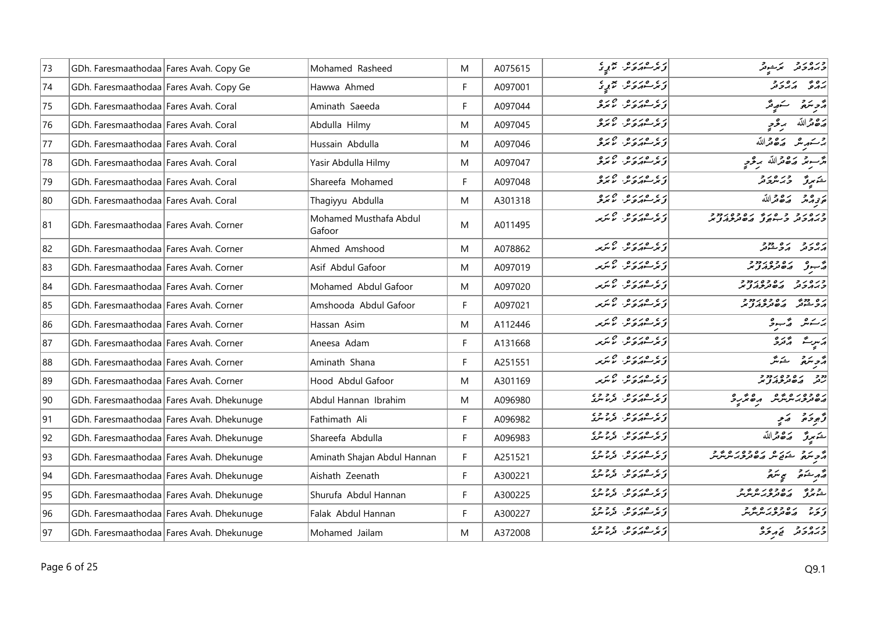| 73              | GDh. Faresmaathodaa Fares Avah. Copy Ge |                                           | Mohamed Rasheed                  | M         | A075615 | د پره د بره ، سر پر پر                          | ورەر و پرَجونر                                                                     |
|-----------------|-----------------------------------------|-------------------------------------------|----------------------------------|-----------|---------|-------------------------------------------------|------------------------------------------------------------------------------------|
| 74              | GDh. Faresmaathodaa Fares Avah. Copy Ge |                                           | Hawwa Ahmed                      | F         | A097001 | ر ، ه ر ره. سي ،<br>از مر شهر تو من             | ره په رور د<br>پهرو که پروتر                                                       |
| 75              | GDh. Faresmaathodaa Fares Avah. Coral   |                                           | Aminath Saeeda                   | F         | A097044 | ر ، ەررە . م.رە<br>زىرىسەرەتر . ئايرى           | ړڻ پر پر<br>ستہ پڑ                                                                 |
| 76              | GDh. Faresmaathodaa Fares Avah. Coral   |                                           | Abdulla Hilmy                    | M         | A097045 | ر ، ەررە مىرە<br>ۋىرىشىرى شىر                   | <mark>بر25</mark> الله<br>برقرم                                                    |
| 77              | GDh. Faresmaathodaa Fares Avah. Coral   |                                           | Hussain Abdulla                  | M         | A097046 |                                                 | جرسم محصر الله                                                                     |
| 78              | GDh. Faresmaathodaa Fares Avah. Coral   |                                           | Yasir Abdulla Hilmy              | M         | A097047 | ر ، ەررە مىرە<br>ۋىرسى <i>مۇش ئاير</i> و        | لترسونته وكافتدالله برقرمج                                                         |
| 79              | GDh. Faresmaathodaa Fares Avah. Coral   |                                           | Shareefa Mohamed                 | F         | A097048 | ر ، ەررو. مىرو                                  | شمېرۇ دېرەرد                                                                       |
| 80              | GDh. Faresmaathodaa Fares Avah. Coral   |                                           | Thagiyyu Abdulla                 | M         | A301318 | د ، ه د ره . م بره                              | محتمد مقدالله                                                                      |
| 81              | GDh. Faresmaathodaa Fares Avah. Corner  |                                           | Mohamed Musthafa Abdul<br>Gafoor | M         | A011495 | ر ، ەررو. ، ئىبر                                | ور ہ ر د ۔ د ہ ر د ر د د د د د<br>و بربر حر ب د چرفی بر ص <sup>و</sup> ر خرد تر بر |
| 82              | GDh. Faresmaathodaa Fares Avah. Corner  |                                           | Ahmed Amshood                    | M         | A078862 | ىر ، ەرىر بىر بىر بىر                           | ره رو دره دود<br>پرېژنس پروشونر                                                    |
| 83              | GDh. Faresmaathodaa Fares Avah. Corner  |                                           | Asif Abdul Gafoor                | M         | A097019 | ز ، ەررو. ، ئىبرىر                              | ر ٥ ۶ ٥ ٥ روو و<br>پرڪ تعريبي تعر<br>پ <sup>ر</sup> سەر                            |
| 84              | GDh. Faresmaathodaa Fares Avah. Corner  |                                           | Mohamed Abdul Gafoor             | M         | A097020 |                                                 | כנסנכ נסכסנככ<br><i>כג</i> ו <i>ג</i> כנ <sub>ע ו</sub> מסנק <i>יבוב</i> ת         |
| 85              | GDh. Faresmaathodaa Fares Avah. Corner  |                                           | Amshooda Abdul Gafoor            | F         | A097021 | ر ، ٥، رو. ، ، سَرَىر                           | ره دده ده ده در دد د<br>پروشوتر پره تر خبر تر بر                                   |
| 86              | GDh. Faresmaathodaa Fares Avah. Corner  |                                           | Hassan Asim                      | M         | A112446 | ر ، ەررو. ، ئىبر                                | برَسكس مُرْسورٌ                                                                    |
| 87              | GDh. Faresmaathodaa Fares Avah. Corner  |                                           | Aneesa Adam                      | F         | A131668 | ز ، ەررو. ، ئىبر                                | پەر ە<br>مەنور<br>ړ س <sub>ر</sub> يځه                                             |
| 88              | GDh. Faresmaathodaa Fares Avah. Corner  |                                           | Aminath Shana                    | F         | A251551 | ر ، ەررو. ئەنئەر                                | ړې سره شو سنګ                                                                      |
| 89              | GDh. Faresmaathodaa Fares Avah. Corner  |                                           | Hood Abdul Gafoor                | M         | A301169 | ز ، ەرزە. ئەبئەير                               | מכ גם כם גמכ<br>גע, גם <i>עיכ</i> ו <i>ב אי</i>                                    |
| 90              |                                         | GDh. Faresmaathodaa Fares Avah. Dhekunuge | Abdul Hannan Ibrahim             | M         | A096980 | ر ، ہ ر ر ہ ۔ ، د د ،<br>تو بر سهروش کرنامبر    | ره ده ره ده و مه ده و د                                                            |
| 91              |                                         | GDh. Faresmaathodaa Fares Avah. Dhekunuge | Fathimath Ali                    | F         | A096982 | ر ۽ ہ درہ پي د د ۽<br>وير سهروس تر د سر         | وٌجودَ حَرِ                                                                        |
| 92              |                                         | GDh. Faresmaathodaa Fares Avah. Dhekunuge | Shareefa Abdulla                 | F         | A096983 | ر ۽ ه ريره پي د د ۽<br>تي پڻ سهري س             | شەمرى <i>گە ئەھەت</i> راللە                                                        |
| 93              |                                         | GDh. Faresmaathodaa Fares Avah. Dhekunuge | Aminath Shajan Abdul Hannan      | F         | A251521 | ر ۽ ه ر ر ه پياد د ه<br>و بر سهرو س             | د د د د د د ه د ه د ه د ه د <del>د د</del><br>مرکز سره شونی س مان مرکز با سرس      |
| $\overline{94}$ |                                         | GDh. Faresmaathodaa Fares Avah. Dhekunuge | Aishath Zeenath                  | F         | A300221 | ر ، ق د ره . و و ،<br>تو بر سهرو بر . تر با سرو | وكرمشكم وسنمتح                                                                     |
| 95              |                                         | GDh. Faresmaathodaa Fares Avah. Dhekunuge | Shurufa Abdul Hannan             | F         | A300225 | ر ، ەررە ، ، د د ،<br>ۋىرسىمبوش ترىيىزى         | و وه دره وه د ه د و<br>څونو د ه تروبر سرس                                          |
| 96              |                                         | GDh. Faresmaathodaa Fares Avah. Dhekunuge | Falak Abdul Hannan               | F         | A300227 | ر ، ہ ر رہ ۔ ، د د ،<br>تو بر سهروس تر بر بر د  | ر ه و و ه ر ه مر و<br>پرې مربوبر سربېرس<br>ى ئەتەر<br>ت                            |
| 97              |                                         | GDh. Faresmaathodaa Fares Avah. Dhekunuge | Mohamed Jailam                   | ${\sf M}$ | A372008 | ر ، ہ ر رہ ۔ ، د د ،<br>تو بر سهروس تر بر بر د  | ورەرو كەنزۇ                                                                        |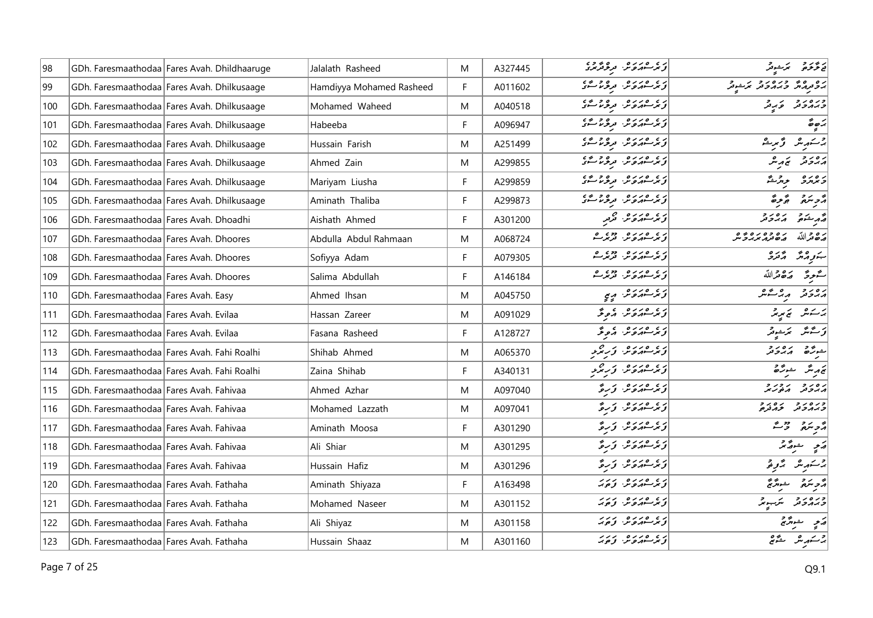| 98  |                                         | GDh. Faresmaathodaa Fares Avah. Dhildhaaruge | Jalalath Rasheed         | M         | A327445 | د ، ، ه د د ه .<br>  تو بر سه د حر س .     تو بر تو بر بر د | نەنۇبۇ ھەر ئىرىدۇر                                     |
|-----|-----------------------------------------|----------------------------------------------|--------------------------|-----------|---------|-------------------------------------------------------------|--------------------------------------------------------|
| 99  |                                         | GDh. Faresmaathodaa Fares Avah. Dhilkusaage  | Hamdiyya Mohamed Rasheed | F         | A011602 | ر ، ق د ره .<br>تو بر سهروس . ترون سنی                      | ره وه ورورو بر دور<br>بروترمانگر وبرماوتر برشوتر       |
| 100 |                                         | GDh. Faresmaathodaa Fares Avah. Dhilkusaage  | Mohamed Waheed           | M         | A040518 | ر ، ەررە بورۇر ».<br>ئىرسىمەدىر بورى سى                     | ورەرو كېرو                                             |
| 101 |                                         | GDh. Faresmaathodaa Fares Avah. Dhilkusaage  | Habeeba                  | F         | A096947 | ر ، ۲۰٫۵ و ۶۰٫۰<br>زیر شهرویں مرور شی                       | $\frac{2}{3}$                                          |
| 102 |                                         | GDh. Faresmaathodaa Fares Avah. Dhilkusaage  | Hussain Farish           | M         | A251499 | ر ، ق د ره .<br>تو بر سهروس . ترون سنی                      | ج <sub>ە</sub> سىمبە بىر<br>ۇ برىشە                    |
| 103 |                                         | GDh. Faresmaathodaa Fares Avah. Dhilkusaage  | Ahmed Zain               | M         | A299855 | ر ، ەررە بەرەپ<br>توپرسىمەھىر بىرى سىر                      | رەرو پەر                                               |
| 104 |                                         | GDh. Faresmaathodaa Fares Avah. Dhilkusaage  | Mariyam Liusha           | F         | A299859 | ر ، ەررە بەردە »                                            | ر ه ر ه<br><del>ر</del> بربرو<br>ىرەژىنە               |
| 105 |                                         | GDh. Faresmaathodaa Fares Avah. Dhilkusaage  | Aminath Thaliba          | F         | A299873 | ر ۽ ھرر ھي تو پر ھي.<br>تو بڻ سهري تر تو تر سني             | أأردتهم أأأدق                                          |
| 106 | GDh. Faresmaathodaa Fares Avah. Dhoadhi |                                              | Aishath Ahmed            | F         | A301200 | ر ۽ مصري هي گھر                                             | وكرمشتمو كرورد                                         |
| 107 | GDh. Faresmaathodaa Fares Avah. Dhoores |                                              | Abdulla Abdul Rahmaan    | M         | A068724 | ر ، ەررە بورە                                               | ر ه و ه د ه د ه<br>پره تر بربرتر س<br>ەھەراللە         |
| 108 | GDh. Faresmaathodaa Fares Avah. Dhoores |                                              | Sofiyya Adam             | F         | A079305 | ر ، ق د ر ه . دو ، ه<br>تو بر سه مرض . توبر سه              | سوره پوره                                              |
| 109 | GDh. Faresmaathodaa Fares Avah. Dhoores |                                              | Salima Abdullah          | F         | A146184 | ر ، ەررە بەدە ج                                             | تحرق ضاهقرالله                                         |
| 110 | GDh. Faresmaathodaa Fares Avah. Easy    |                                              | Ahmed Ihsan              | M         | A045750 |                                                             | بر ه بر د<br>م <i>. ب</i> ر <del>د</del> تر<br>مەرمەشر |
| 111 | GDh. Faresmaathodaa Fares Avah. Evilaa  |                                              | Hassan Zareer            | M         | A091029 |                                                             | برسەنىش ئىم ئېرىتىلە                                   |
| 112 | GDh. Faresmaathodaa Fares Avah. Evilaa  |                                              | Fasana Rasheed           | F         | A128727 | ر ، ق د ره .<br>تر بر سه پر بر گرونژ                        | أَوْسَدْتُهُ مَرْسُومْرُ                               |
| 113 |                                         | GDh. Faresmaathodaa Fares Avah. Fahi Roalhi  | Shihab Ahmed             | M         | A065370 | زء ورزو. تررچن                                              | شەرگە كەركەتر                                          |
| 114 |                                         | GDh. Faresmaathodaa Fares Avah. Fahi Roalhi  | Zaina Shihab             | F         | A340131 | ر ، ەررە. زرىر                                              | كترمر شركت                                             |
| 115 | GDh. Faresmaathodaa Fares Avah. Fahivaa |                                              | Ahmed Azhar              | M         | A097040 | ز ، ەرزە. زرۇ                                               | גם ג' דגר ב<br>הגבע ה'פגע                              |
| 116 | GDh. Faresmaathodaa Fares Avah. Fahivaa |                                              | Mohamed Lazzath          | M         | A097041 |                                                             | وره رو ده رو<br><i>وب</i> رمرو کرمرفر <i>ه</i>         |
| 117 | GDh. Faresmaathodaa Fares Avah. Fahivaa |                                              | Aminath Moosa            | F         | A301290 | ر ، ق د ره.<br>تو <del>ب</del> ر سه <i>بر</i> بر و آر بر    | أرمر وسره<br>دين مشر                                   |
| 118 | GDh. Faresmaathodaa Fares Avah. Fahivaa |                                              | Ali Shiar                | M         | A301295 | ز ۽ ھيريرا ورئا                                             | أرشح الشورجمر                                          |
| 119 | GDh. Faresmaathodaa Fares Avah. Fahivaa |                                              | Hussain Hafiz            | M         | A301296 | زء مەررە. زرۇ                                               | 2سىمەشىر مەرقى                                         |
| 120 | GDh. Faresmaathodaa Fares Avah. Fathaha |                                              | Aminath Shiyaza          | F         | A163498 | ر ، ەررە<br>ۋىرسىن ۋىر . ۋە بە                              | أثر جر سنر المستورثة                                   |
| 121 | GDh. Faresmaathodaa Fares Avah. Fathaha |                                              | Mohamed Naseer           | M         | A301152 | ز ، ه دره. درر                                              | ورەرو شبىر                                             |
| 122 | GDh. Faresmaathodaa Fares Avah. Fathaha |                                              | Ali Shiyaz               | M         | A301158 | ر ، ەررە. ررز                                               | ړې مشوره په د                                          |
| 123 | GDh. Faresmaathodaa Fares Avah. Fathaha |                                              | Hussain Shaaz            | ${\sf M}$ | A301160 | ر ، ەررە. زىرز                                              | بر سەر شىر ئىسىم                                       |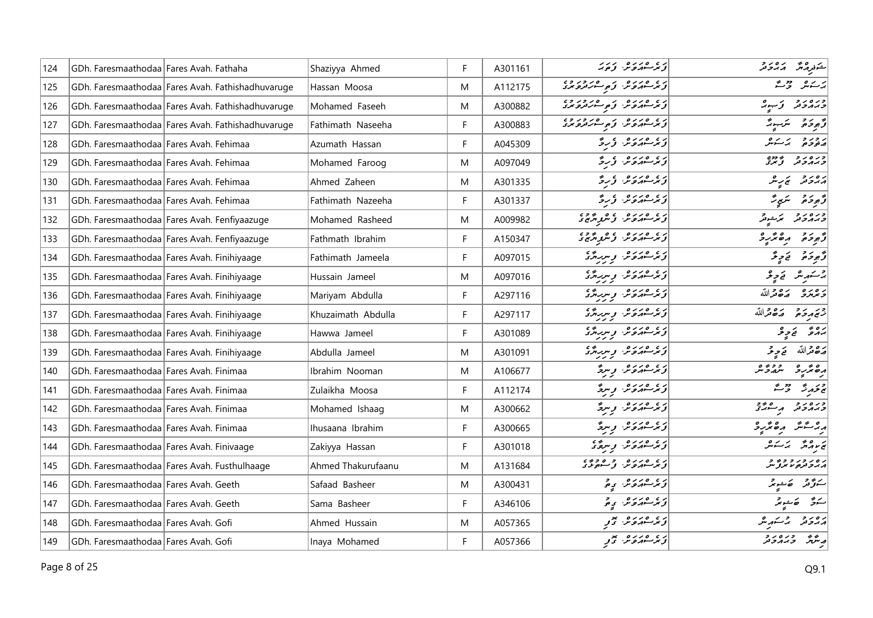| 124 | GDh. Faresmaathodaa Fares Avah. Fathaha   |                                                   | Shaziyya Ahmed     | F  | A301161 | ار ، ۱٫۵۵ در در ر                                                     | شخوره محمد محمد حمد حمد                             |
|-----|-------------------------------------------|---------------------------------------------------|--------------------|----|---------|-----------------------------------------------------------------------|-----------------------------------------------------|
| 125 |                                           | GDh. Faresmaathodaa Fares Avah. Fathishadhuvaruge | Hassan Moosa       | M  | A112175 | ر ، ەررو.  زەسەردىر ،                                                 | ير کے شرح تو ت                                      |
| 126 |                                           | GDh. Faresmaathodaa Fares Avah. Fathishadhuvaruge | Mohamed Faseeh     | M  | A300882 | د ، ق دره .<br>د بر سهروند . د <sub>کم</sub> سرگرو برد                | ورەرو كەبدۇ                                         |
| 127 |                                           | GDh. Faresmaathodaa Fares Avah. Fathishadhuvaruge | Fathimath Naseeha  | F. | A300883 | د ، ه دره. د ه سر در د ،                                              | ىئرىبەر<br>وٌجوحَ حو                                |
| 128 | GDh. Faresmaathodaa Fares Avah. Fehimaa   |                                                   | Azumath Hassan     | F  | A045309 | د ، ق د ده. ، و د څ                                                   | رورو برڪش                                           |
| 129 | GDh. Faresmaathodaa Fares Avah. Fehimaa   |                                                   | Mohamed Faroog     | M  | A097049 | ر ، قەررە ، ئەرگە                                                     | وره رو و ووه<br><i>وب</i> رمرونر کرنمر <sub>ی</sub> |
| 130 | GDh. Faresmaathodaa Fares Avah. Fehimaa   |                                                   | Ahmed Zaheen       | M  | A301335 |                                                                       | پرویر پی پیگر                                       |
| 131 | GDh. Faresmaathodaa Fares Avah. Fehimaa   |                                                   | Fathimath Nazeeha  | F  | A301337 | ر ، قەررە ، ئەرگە                                                     | ژودۇ سەر                                            |
| 132 |                                           | GDh. Faresmaathodaa Fares Avah. Fenfiyaazuge      | Mohamed Rasheed    | M  | A009982 | ر ، _ ، ر ، ر ، _ ، و ، و ، و ،<br>  تو بر سهره بر ، لو بر بر بر بر ، | ورەرو بەيدۇ.                                        |
| 133 |                                           | GDh. Faresmaathodaa Fares Avah. Fenfiyaazuge      | Fathmath Ibrahim   | F  | A150347 | ز ، ه د د ه ، و عرض و ،                                               | ژوده مقترره                                         |
| 134 |                                           | GDh. Faresmaathodaa Fares Avah. Finihiyaage       | Fathimath Jameela  | F. | A097015 | د ع ه د رو و او سر رو د و                                             | وٌجِ حَمَدٍ وَ حَرِ وَ                              |
| 135 |                                           | GDh. Faresmaathodaa Fares Avah. Finihiyaage       | Hussain Jameel     | M  | A097016 | د پره د برو و سربردی<br>  د بر سه برو و سربردی                        | يزحكم متحافي فالمحافية والمحر                       |
| 136 |                                           | GDh. Faresmaathodaa Fares Avah. Finihiyaage       | Mariyam Abdulla    | F  | A297116 | ر ، قەرەپ، بەيرىدى<br>ئ                                               | ر ه ر ه<br><del>و</del> بربرو<br>مَرْصُعْرِاللَّهُ  |
| 137 |                                           | GDh. Faresmaathodaa Fares Avah. Finihiyaage       | Khuzaimath Abdulla | F  | A297117 | ويحصر وتروعه وسرير                                                    | تجيم مرحدة المكافحة الله                            |
| 138 |                                           | GDh. Faresmaathodaa Fares Avah. Finihiyaage       | Hawwa Jameel       | F  | A301089 | وبرعية وترافيه والرامزة                                               | پَرُمُوَّ یَے جِو                                   |
| 139 |                                           | GDh. Faresmaathodaa Fares Avah. Finihiyaage       | Abdulla Jameel     | M  | A301091 | ر ، ق در و.<br>تر بر سهره نگر ، توسر برد و                            | ەھىراللە<br>تع تر تر                                |
| 140 | GDh. Faresmaathodaa Fares Avah. Finimaa   |                                                   | Ibrahim Nooman     | M  | A106677 | زء مەرزە. پەرى                                                        | سرد و مر<br>ەر ھەترىر <i>3</i>                      |
| 141 | GDh. Faresmaathodaa Fares Avah. Finimaa   |                                                   | Zulaikha Moosa     | F. | A112174 | زء مصروش وبيرة                                                        | $23 - 312$                                          |
| 142 | GDh. Faresmaathodaa Fares Avah. Finimaa   |                                                   | Mohamed Ishaaq     | M  | A300662 | زیره مربرو. و سرچٌ                                                    | כנסנכ השייבי<br>במהכנה ה-הב                         |
| 143 | GDh. Faresmaathodaa Fares Avah. Finimaa   |                                                   | Ihusaana Ibrahim   | F  | A300665 | زءے پروین ویبرڈ                                                       | روشش رەمزېر                                         |
| 144 | GDh. Faresmaathodaa Fares Avah. Finivaage |                                                   | Zakiyya Hassan     | F  | A301018 | د ه ه د رو. و سره د                                                   | ى بور ئەسكەنلەر                                     |
| 145 |                                           | GDh. Faresmaathodaa Fares Avah. Fusthulhaage      | Ahmed Thakurufaanu | M  | A131684 | د ، ه د د ه . د ه ه د د ،<br>از مرسود تور . د کار د د ،               | ر ه ر د ر د د و د<br>د بر <del>د</del> نور سر       |
| 146 | GDh. Faresmaathodaa Fares Avah. Geeth     |                                                   | Safaad Basheer     | M  | A300431 | د ، ، ه د ره .<br>  د بر سه پرې د .                                   | ستؤثر كالشوير                                       |
| 147 | GDh. Faresmaathodaa Fares Avah. Geeth     |                                                   | Sama Basheer       | F. | A346106 | ر ، ه ر ره.<br>تو بر سهره ش ، <sub>مح</sub> مد                        | سَرَقٌ صَنْبِعَرُ                                   |
| 148 | GDh. Faresmaathodaa Fares Avah. Gofi      |                                                   | Ahmed Hussain      | M  | A057365 | تې په <i>ور رو</i> مو <sub>ر</sub>                                    | رەرو ورىدىگ                                         |
| 149 | GDh. Faresmaathodaa Fares Avah. Gofi      |                                                   | Inaya Mohamed      | F. | A057366 | ار ۽ ھي رھي سي په ب                                                   | ە شەھرەر دەر                                        |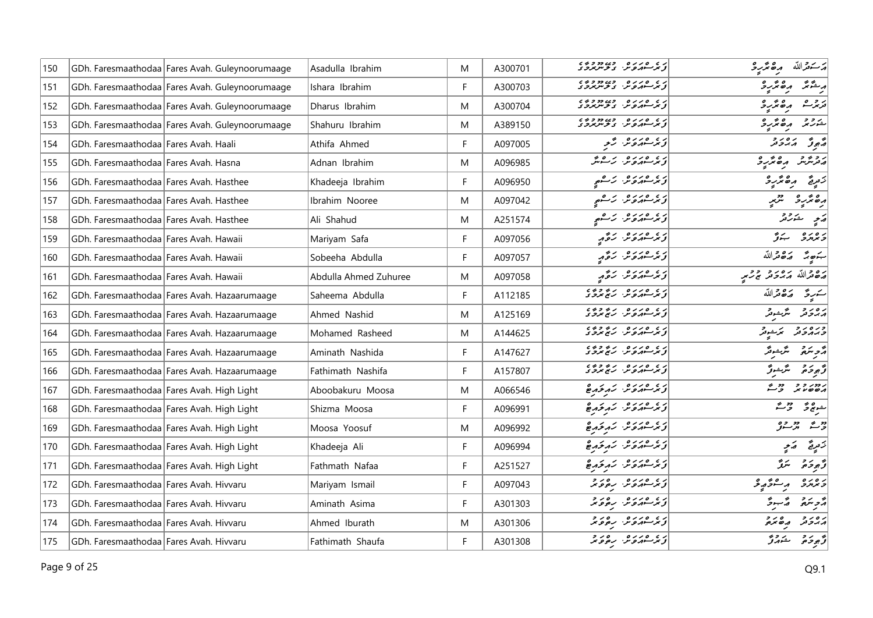| 150 |                                         | GDh. Faresmaathodaa Fares Avah. Guleynoorumaage | Asadulla Ibrahim      | M  | A300701 | ג ז פגגם - כגז דרכים ז<br>צ זג -- חובית - ג <del>ד</del> ייניזנדי | ە ھەترىر ۋ<br>مركوترالله                   |
|-----|-----------------------------------------|-------------------------------------------------|-----------------------|----|---------|-------------------------------------------------------------------|--------------------------------------------|
| 151 |                                         | GDh. Faresmaathodaa Fares Avah. Guleynoorumaage | Ishara Ibrahim        | F. | A300703 | ر ، ہ ر ر ہ ۔ د ، د د د ، ،<br>تو بر سوری س                       | ەرھ ئ <sup>ۆ</sup> ر ۋ<br>ەرشەتىر          |
| 152 |                                         | GDh. Faresmaathodaa Fares Avah. Guleynoorumaage | Dharus Ibrahim        | M  | A300704 | ر په ۱۶۵۵ وي دو ور په<br>تو پرستوړنو د مخر سرچرۍ                  | ەھ تررۈ<br>ر ج <sub>ر</sub> ھ              |
| 153 |                                         | GDh. Faresmaathodaa Fares Avah. Guleynoorumaage | Shahuru Ibrahim       | M  | A389150 | ر په ۱۶۷۵ - د په دوه ولای<br>تو پرسه د چې د کوسرپرو ی             | ەھ ئۆر ۋ<br>ے تر تر                        |
| 154 | GDh. Faresmaathodaa Fares Avah. Haali   |                                                 | Athifa Ahmed          | F  | A097005 | د ، ، ه د ره ، گرمي                                               | أشبور أمدح تر                              |
| 155 | GDh. Faresmaathodaa Fares Avah. Hasna   |                                                 | Adnan Ibrahim         | M  | A096985 | ر ، ەررە. رَئەش                                                   | ر ديد د<br>پر تر سر سر<br>ەھ تۈرۈ          |
| 156 | GDh. Faresmaathodaa Fares Avah. Hasthee |                                                 | Khadeeja Ibrahim      | F. | A096950 | ر ، ەررو. زىسى                                                    | ەھ ترىرى<br>تزمرقج                         |
| 157 | GDh. Faresmaathodaa Fares Avah. Hasthee |                                                 | Ibrahim Nooree        | M  | A097042 |                                                                   | ەر ھەتتەر 2<br>ر<br>لتربير                 |
| 158 | GDh. Faresmaathodaa Fares Avah. Hasthee |                                                 | Ali Shahud            | M  | A251574 | ر ، ەررو. ئەسمى                                                   | أركمني المشارقة                            |
| 159 | GDh. Faresmaathodaa Fares Avah. Hawaii  |                                                 | Mariyam Safa          | F. | A097056 | ر ، ، ، ، ، ، روْ ،                                               | رەرە بەر                                   |
| 160 | GDh. Faresmaathodaa Fares Avah. Hawaii  |                                                 | Sobeeha Abdulla       | F  | A097057 | تر ۽ ھي ره رکھي گھي                                               | بەھ بە<br>وكصرالله                         |
| 161 | GDh. Faresmaathodaa Fares Avah. Hawaii  |                                                 | Abdulla Ahmed Zuhuree | M  | A097058 | ر ، ، ، ، ، ، روْ ،                                               | رە داللە كەردىن تەرىپ                      |
| 162 |                                         | GDh. Faresmaathodaa Fares Avah. Hazaarumaage    | Saheema Abdulla       | F  | A112185 |                                                                   | ڪريرڱ <i>۾ هه</i> ڙالله                    |
| 163 |                                         | GDh. Faresmaathodaa Fares Avah. Hazaarumaage    | Ahmed Nashid          | M  | A125169 | ر ، ه د ره . ره و د ،<br>توسر سهره بر . رسم مرو د                 | رەر ۋە ئەسىر<br>مەركىز سىيىسى              |
| 164 |                                         | GDh. Faresmaathodaa Fares Avah. Hazaarumaage    | Mohamed Rasheed       | M  | A144625 | ر ۽ ھ ر ر ھ بريو وي.<br>تو بر سهروس بريج بروي                     | ورەر د<br><i>دېرم</i> ونر برخونر           |
| 165 |                                         | GDh. Faresmaathodaa Fares Avah. Hazaarumaage    | Aminath Nashida       | F. | A147627 | ر ، ق د ره د ره و د ،<br>زیگر سهروین اریخ برو ی                   | ړ د سرچ<br>سُرَشدورَّر                     |
| 166 |                                         | GDh. Faresmaathodaa Fares Avah. Hazaarumaage    | Fathimath Nashifa     | F. | A157807 | ر ، ہ درہ مرد دی۔<br>توسر مرد مرد مرد دی                          | رَّجِ رَحْمَ - سَرَّسْورَّ                 |
| 167 |                                         | GDh. Faresmaathodaa Fares Avah. High Light      | Aboobakuru Moosa      | M  | A066546 | ر ، ، ، ، ، و کرده                                                | נ בב ג ב<br>ג סיס ט' זה                    |
| 168 |                                         | GDh. Faresmaathodaa Fares Avah. High Light      | Shizma Moosa          | F. | A096991 | ى ئەمەر ئەر ئىمە ئەر                                              | ديو مشر<br>ے پ <sub>ی</sub> گی             |
| 169 |                                         | GDh. Faresmaathodaa Fares Avah. High Light      | Moosa Yoosuf          | M  | A096992 | ز ، ، ، ، ، ، تم د خم                                             | ديو مشر<br>دد حرو                          |
| 170 |                                         | GDh. Faresmaathodaa Fares Avah. High Light      | Khadeeja Ali          | F  | A096994 | وبر مدرور تربر وبره                                               | رَسِرِيَّ - رَسِيِ                         |
| 171 |                                         | GDh. Faresmaathodaa Fares Avah. High Light      | Fathmath Nafaa        | F  | A251527 | زي ورزو. تهر خهره                                                 | ۋە ئەۋە ئىڭ                                |
| 172 | GDh. Faresmaathodaa Fares Avah. Hivvaru |                                                 | Mariyam Ismail        | F  | A097043 |                                                                   | ر ه ر ه<br><del>د</del> بربرگر<br>بره څه چ |
| 173 | GDh. Faresmaathodaa Fares Avah. Hivvaru |                                                 | Aminath Asima         | F  | A301303 | ر ، ق د د ه .<br>تر بر سه د ش . بر و و بر                         | رژید ژ<br>د په سرچ                         |
| 174 | GDh. Faresmaathodaa Fares Avah. Hivvaru |                                                 | Ahmed Iburath         | M  | A301306 |                                                                   | ەر ھەتىرە<br>پروژو                         |
| 175 | GDh. Faresmaathodaa Fares Avah. Hivvaru |                                                 | Fathimath Shaufa      | F. | A301308 |                                                                   | و د د دو                                   |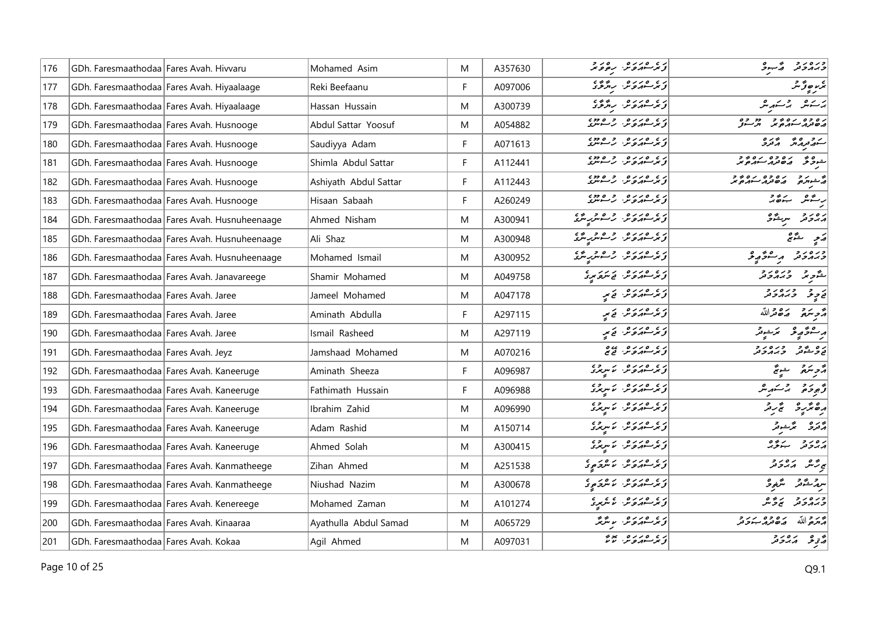| 176 | GDh. Faresmaathodaa Fares Avah. Hivvaru  |                                               | Mohamed Asim          | M  | A357630 |                                                        | ورەرو ھەر                                          |
|-----|------------------------------------------|-----------------------------------------------|-----------------------|----|---------|--------------------------------------------------------|----------------------------------------------------|
| 177 |                                          | GDh. Faresmaathodaa Fares Avah. Hiyaalaage    | Reki Beefaanu         | F. | A097006 | ر ، ہ ر ر ہ<br>تو بر سهروش گردی                        | ى<br>بۇ بەھ ۋىتر                                   |
| 178 |                                          | GDh. Faresmaathodaa Fares Avah. Hiyaalaage    | Hassan Hussain        | M  | A300739 | ر ، ہ ر ر ہ<br>تو بر سهروش کر برگری                    | ئەسكەش بۇسكەرلىش                                   |
| 179 |                                          | GDh. Faresmaathodaa Fares Avah. Husnooge      | Abdul Sattar Yoosuf   | M  | A054882 | ر ، ه د ره . د ه دد ،<br>زیر سهروین گرستری             | נסכם נסיבים ובכם<br>השינה – הפיג ת – כל            |
| 180 |                                          | GDh. Faresmaathodaa Fares Avah. Husnooge      | Saudiyya Adam         | F  | A071613 | ر ، ه د ره . و ه دد ،<br>تو <del>پ</del> ر سهروش گرسوس | سکھ مرمد ہور ہ                                     |
| 181 |                                          | GDh. Faresmaathodaa Fares Avah. Husnooge      | Shimla Abdul Sattar   | F  | A112441 | د ، ه د د ه . د ه دد ،                                 | ە ئەرەمەدەرە بەر<br>شورىخ ھەمزەر سىمەمى            |
| 182 | GDh. Faresmaathodaa Fares Avah. Husnooge |                                               | Ashiyath Abdul Sattar | F. | A112443 | ر ۽ قدر ۾ اور دي.<br>تو پڻ سهري س                      | ه در ده ده ده ده د                                 |
| 183 |                                          | GDh. Faresmaathodaa Fares Avah. Husnooge      | Hisaan Sabaah         | F  | A260249 | ر ، ق دره به وده                                       | رىشىش بەھەر                                        |
| 184 |                                          | GDh. Faresmaathodaa Fares Avah. Husnuheenaage | Ahmed Nisham          | M  | A300941 | و ، ، ، ، ، ، و ، ، ، ، ،                              | رەر د<br>مەدىر س                                   |
| 185 |                                          | GDh. Faresmaathodaa Fares Avah. Husnuheenaage | Ali Shaz              | M  | A300948 | ر ، ەررە بېرىسىرىكى                                    | أرشم المشترجي                                      |
| 186 |                                          | GDh. Faresmaathodaa Fares Avah. Husnuheenaage | Mohamed Ismail        | M  | A300952 | ر ، ەررە بېرىشى                                        | ورەرو مەشرەرى                                      |
| 187 |                                          | GDh. Faresmaathodaa Fares Avah. Janavareege   | Shamir Mohamed        | M  | A049758 | رے ہے رہ ۔ مارے<br>تو بر سوہر ہو سر کا سرکا میری       | شوپر ورورو                                         |
| 188 | GDh. Faresmaathodaa Fares Avah. Jaree    |                                               | Jameel Mohamed        | M  | A047178 | تر ، ه دره.<br>تو بر ۱۳۶۰ قرم می                       | مار در در در د                                     |
| 189 | GDh. Faresmaathodaa Fares Avah. Jaree    |                                               | Aminath Abdulla       | F  | A297115 | تر بر صر بر ص سي سي<br>  تو بر سوړې خ رسي              | مُّحِسَعَ مَصْعَرِاللَّه                           |
| 190 | GDh. Faresmaathodaa Fares Avah. Jaree    |                                               | Ismail Rasheed        | M  | A297119 | ر ۽ صدر هن تي پر                                       | ىرىشۇرچە ئىشىر                                     |
| 191 | GDh. Faresmaathodaa Fares Avah. Jeyz     |                                               | Jamshaad Mohamed      | M  | A070216 | ر ۽ ھربرھ سي ھ<br>تي سرگر ھر سي جي                     | ر ہ رو و<br>تع تر شگوتر<br>و ر ه ر د<br>تر پر ژ تر |
| 192 |                                          | GDh. Faresmaathodaa Fares Avah. Kaneeruge     | Aminath Sheeza        | F  | A096987 | و ، ، ، ، ، ، و ،                                      | ړې سره<br>شومجّ<br>__ تو                           |
| 193 |                                          | GDh. Faresmaathodaa Fares Avah. Kaneeruge     | Fathimath Hussain     | F. | A096988 | د ، ه دره. نمبربرد،                                    | ۇۋە ئەسىر                                          |
| 194 |                                          | GDh. Faresmaathodaa Fares Avah. Kaneeruge     | Ibrahim Zahid         | M  | A096990 | د ، ه د ره. ، ، سرچ                                    | وە ئەر ئەر ئە                                      |
| 195 |                                          | GDh. Faresmaathodaa Fares Avah. Kaneeruge     | Adam Rashid           | M  | A150714 | ر ، ق در و . کم سرچری                                  | پەرە<br>مەنىرى<br>یم شو تر<br>مرگ شو تعر           |
| 196 |                                          | GDh. Faresmaathodaa Fares Avah. Kaneeruge     | Ahmed Solah           | M  | A300415 | د ، ه دره. ، ، سرو،                                    | ره ر و دره<br>پربرو د سوور                         |
| 197 |                                          | GDh. Faresmaathodaa Fares Avah. Kanmatheege   | Zihan Ahmed           | M  | A251538 | ر ، ه د ره . ره د . ،<br>و بر سهروس . ره برو .         | پر شهر در پرور د                                   |
| 198 |                                          | GDh. Faresmaathodaa Fares Avah. Kanmatheege   | Niushad Nazim         | M  | A300678 | ر ، ه د ره . رو<br>و بر سهرو تر . را شرح مو د          | سرم شور سگھور                                      |
| 199 |                                          | GDh. Faresmaathodaa Fares Avah. Kenereege     | Mohamed Zaman         | M  | A101274 | ر ، ق دره ، ، ، ، ،                                    | ورەرو روم                                          |
| 200 | GDh. Faresmaathodaa Fares Avah. Kinaaraa |                                               | Ayathulla Abdul Samad | M  | A065729 | ر ، ، ، ، ، ، سرچینې په د                              | ر ٥ ٥ ٥ ٥ ر د و<br>پره تر پر سوتر تر<br>وسرح الله  |
| 201 | GDh. Faresmaathodaa Fares Avah. Kokaa    |                                               | Agil Ahmed            | M  | A097031 | ړ په ۱۶۷۵ کېږي.                                        | و ده دره در د                                      |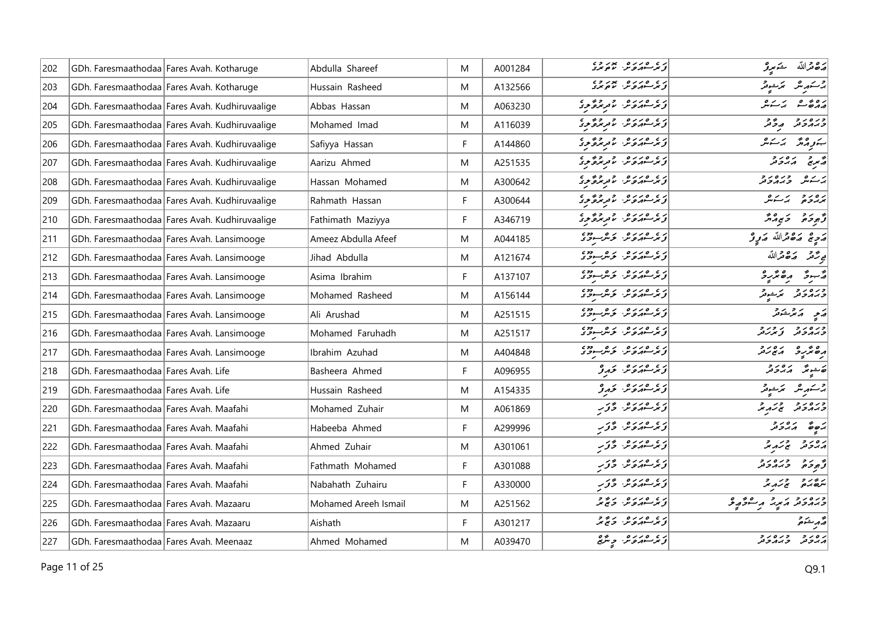| 202 |                                         | GDh. Faresmaathodaa Fares Avah. Kotharuge      | Abdulla Shareef      | M         | A001284 | ر ، ہ ر ر ہ بدر د ،<br>زبر سهروش نامح بری           | رەقراللە خەمبەر                                                                                      |
|-----|-----------------------------------------|------------------------------------------------|----------------------|-----------|---------|-----------------------------------------------------|------------------------------------------------------------------------------------------------------|
| 203 |                                         | GDh. Faresmaathodaa Fares Avah. Kotharuge      | Hussain Rasheed      | ${\sf M}$ | A132566 | ر په ۱۶۷۵ په در د په<br>زېر سهرونز، لامړين          | برسكهاش الكرسوفر                                                                                     |
| 204 |                                         | GDh. Faresmaathodaa Fares Avah. Kudhiruvaalige | Abbas Hassan         | M         | A063230 | د ، ه د ره . د و د و . ،<br>د پرسهروس تامرپروگرد    | رەپ برىر                                                                                             |
| 205 |                                         | GDh. Faresmaathodaa Fares Avah. Kudhiruvaalige | Mohamed Imad         | M         | A116039 | ر ، ٥ ر ر ٥ - و و و ٥<br>ژیزسهروین علویزوگوی        | כנסני ביק<br><i>בג</i> ונכני וגבנ                                                                    |
| 206 |                                         | GDh. Faresmaathodaa Fares Avah. Kudhiruvaalige | Safiyya Hassan       | F         | A144860 | د ، ەررە مەرەپەر                                    | البزورة يزينو                                                                                        |
| 207 |                                         | GDh. Faresmaathodaa Fares Avah. Kudhiruvaalige | Aarizu Ahmed         | ${\sf M}$ | A251535 | د ، ه دره . ه د د و ، ،                             | وحميرة وكالاحرار                                                                                     |
| 208 |                                         | GDh. Faresmaathodaa Fares Avah. Kudhiruvaalige | Hassan Mohamed       | M         | A300642 | د ، ه د ره . ه د برو و ،<br>تر بر ۱۳۶۰ و بر برو د . | يركبش وره دو                                                                                         |
| 209 |                                         | GDh. Faresmaathodaa Fares Avah. Kudhiruvaalige | Rahmath Hassan       | F         | A300644 | ر ، ۱۶۷۵. و وه ، ،<br>ژنگرسهموش مافرنگرگان          | رەرد برىش                                                                                            |
| 210 |                                         | GDh. Faresmaathodaa Fares Avah. Kudhiruvaalige | Fathimath Maziyya    | F         | A346719 | ر ، ه د ره . د و و و ، ،<br>زیر سهروین آندیزه و د   | ژوده د پر                                                                                            |
| 211 |                                         | GDh. Faresmaathodaa Fares Avah. Lansimooge     | Ameez Abdulla Afeef  | ${\sf M}$ | A044185 |                                                     | أَمَدِيحَ مَهْ قَدْاللَّهُ مَدَرٍ وَ                                                                 |
| 212 |                                         | GDh. Faresmaathodaa Fares Avah. Lansimooge     | Jihad Abdulla        | M         | A121674 | ر ، ق دره از ده .<br>تونگرسههای از کرد .            | مے ترتر ضکھ تراللہ                                                                                   |
| 213 |                                         | GDh. Faresmaathodaa Fares Avah. Lansimooge     | Asima Ibrahim        | F         | A137107 | ر ، ہ ر رہ ۔ دہ ۔<br>توسر سهروس کوشر کور            | ومبوش وكالمربر                                                                                       |
| 214 |                                         | GDh. Faresmaathodaa Fares Avah. Lansimooge     | Mohamed Rasheed      | M         | A156144 | د ، ق دره . ده . ده .                               | ورەرو كەشەر<br><i>وبە</i> رونر كەشەنر                                                                |
| 215 |                                         | GDh. Faresmaathodaa Fares Avah. Lansimooge     | Ali Arushad          | M         | A251515 | د ، ۰٫۰۰۰ ورو.<br>د بر ۱٫۰۰۰ و بر ۱٫۰۰۰ ور          | أتكمح الكاهر والمحمد                                                                                 |
| 216 |                                         | GDh. Faresmaathodaa Fares Avah. Lansimooge     | Mohamed Faruhadh     | M         | A251517 | ر ، ۱٫۵ و ۵٫۰ و ،<br>ژنگرستهری بر کوشوری            | وره رو درو<br><i>وبرم</i> ونر کوبر <i>دن</i> ر                                                       |
| 217 |                                         | GDh. Faresmaathodaa Fares Avah. Lansimooge     | Ibrahim Azuhad       | M         | A404848 | ر ، ۲۶۰۰ و ۵۰۰۰<br>تونگرستههای موسوعی               | رە ئۆر ئەر ئەر                                                                                       |
| 218 | GDh. Faresmaathodaa Fares Avah. Life    |                                                | Basheera Ahmed       | F         | A096955 | ر ، قەررە . ئەرۋ                                    | ەشبە ئەرەر                                                                                           |
| 219 | GDh. Faresmaathodaa Fares Avah. Life    |                                                | Hussain Rasheed      | M         | A154335 | ز ، قارىرە ، ئەرۋ                                   | برسكريش الكرجومر                                                                                     |
| 220 | GDh. Faresmaathodaa Fares Avah. Maafahi |                                                | Mohamed Zuhair       | M         | A061869 | زەرەردە، ئۇزىر                                      | כנסנכ בנגב                                                                                           |
| 221 | GDh. Faresmaathodaa Fares Avah. Maafahi |                                                | Habeeba Ahmed        | F         | A299996 | ر، ورزه. دُرَب                                      | بر 2 پر ج<br>م <i>ر</i> گر 5 فر<br>$\overset{\ast}{\circ}\overset{\ast}{\circ}\overset{\ast}{\cdot}$ |
| 222 | GDh. Faresmaathodaa Fares Avah. Maafahi |                                                | Ahmed Zuhair         | M         | A301061 | د ، ، ه د ره. پخوب                                  | גפני הלגב                                                                                            |
| 223 | GDh. Faresmaathodaa Fares Avah. Maafahi |                                                | Fathmath Mohamed     | F         | A301088 | ر ، ، ، ، ، ، وَ تَرَ ر                             | و ده دره دره<br>ژوره درمدر                                                                           |
| 224 | GDh. Faresmaathodaa Fares Avah. Maafahi |                                                | Nabahath Zuhairu     | F         | A330000 | ر ، قەرەر ئەرب                                      | LAJE SIRK                                                                                            |
| 225 | GDh. Faresmaathodaa Fares Avah. Mazaaru |                                                | Mohamed Areeh Ismail | M         | A251562 | ر ، ق در ه .<br>تو بر سهره ش . از بخ بر             | בגובב הבג ושיבוב                                                                                     |
| 226 | GDh. Faresmaathodaa Fares Avah. Mazaaru |                                                | Aishath              | F         | A301217 | ر ، قرار و . د و د                                  | وشريدة                                                                                               |
| 227 | GDh. Faresmaathodaa Fares Avah. Meenaaz |                                                | Ahmed Mohamed        | M         | A039470 | ر ، قرار ه . بر ه .                                 | נפנד בנסנד<br>גיבת בייתכת                                                                            |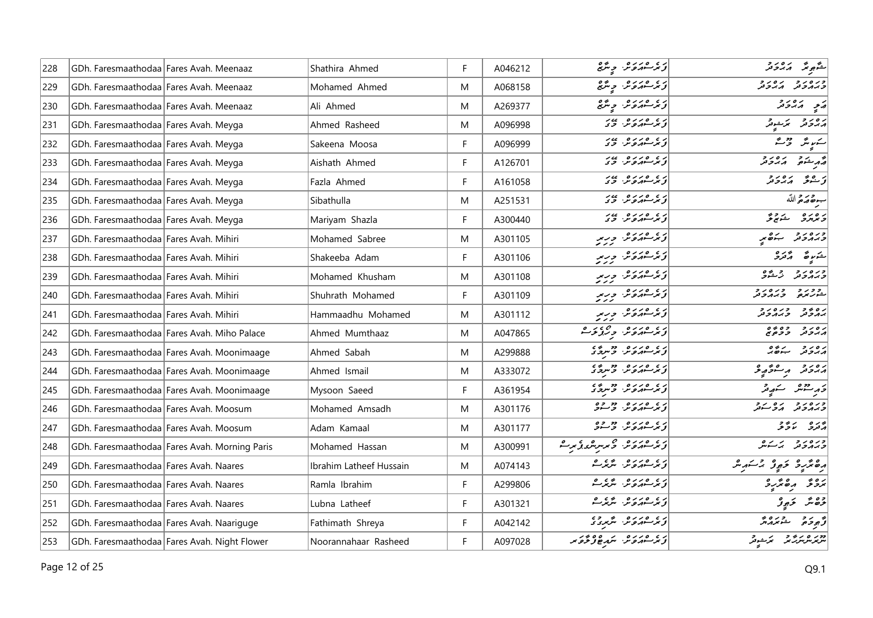| 228 | GDh. Faresmaathodaa Fares Avah. Meenaaz |                                               | Shathira Ahmed          | F         | A046212 | ز ، ق د د ه  و پژ پم                             | شگهونگر   مردوند                          |
|-----|-----------------------------------------|-----------------------------------------------|-------------------------|-----------|---------|--------------------------------------------------|-------------------------------------------|
| 229 | GDh. Faresmaathodaa Fares Avah. Meenaaz |                                               | Mohamed Ahmed           | M         | A068158 | ز ۽ قدري په چه چې                                | כנסנכ נסנכ<br>כגמכת הגכת                  |
| 230 | GDh. Faresmaathodaa Fares Avah. Meenaaz |                                               | Ali Ahmed               | M         | A269377 | د ع ۱۳۵۵ - مرتبع                                 | ړی پرورو                                  |
| 231 | GDh. Faresmaathodaa Fares Avah. Meyga   |                                               | Ahmed Rasheed           | M         | A096998 | ر ، ق د ره<br>ز بر سهره بر . <del>.</del> د .    | رەرە كەشەھ                                |
| 232 | GDh. Faresmaathodaa Fares Avah. Meyga   |                                               | Sakeena Moosa           | F         | A096999 | ر ، ہے رہ ، ،، ر<br>تو پڑے پرہ تر ۔              | سُرِیدٌ حِیْثٌ                            |
| 233 | GDh. Faresmaathodaa Fares Avah. Meyga   |                                               | Aishath Ahmed           | F         | A126701 |                                                  | و در ده ده در د<br>مگه شوه که برخانه      |
| 234 | GDh. Faresmaathodaa Fares Avah. Meyga   |                                               | Fazla Ahmed             | F         | A161058 |                                                  | ۇشۇ مەدەر                                 |
| 235 | GDh. Faresmaathodaa Fares Avah. Meyga   |                                               | Sibathulla              | M         | A251531 | ر ، ہے رہ ، ،، ر<br>تو بر سهروس بر دی            | سوضة حرائله                               |
| 236 | GDh. Faresmaathodaa Fares Avah. Meyga   |                                               | Mariyam Shazla          | F         | A300440 | ر ، ق دره . ، ، د<br>تو <del>پ</del> ر شهر تو در | رەرە شەدى <sub>چ</sub>                    |
| 237 | GDh. Faresmaathodaa Fares Avah. Mihiri  |                                               | Mohamed Sabree          | M         | A301105 | ر ، قەررە<br>  زىر شەرەتر ، برىرىيە              | سەھىر<br>و ر ه ر و<br>تر بر تر تر         |
| 238 | GDh. Faresmaathodaa Fares Avah. Mihiri  |                                               | Shakeeba Adam           | F         | A301106 | ر عصر دي.<br>از تر شهر تر تر مر بر مر            | شكرة كالره                                |
| 239 | GDh. Faresmaathodaa Fares Avah. Mihiri  |                                               | Mohamed Khusham         | M         | A301108 | ر عدد ده.<br>از بر شهره ش د مرس                  | ورەر دېمبرو<br><i>ورورو د</i> ېمبر        |
| 240 | GDh. Faresmaathodaa Fares Avah. Mihiri  |                                               | Shuhrath Mohamed        | F         | A301109 | ر عدد دره در بر<br>از بر عدد در مرد م            | دور وره رو<br>شرکره وبروتر                |
| 241 | GDh. Faresmaathodaa Fares Avah. Mihiri  |                                               | Hammaadhu Mohamed       | M         | A301112 | ر ، مەررە<br>كەبىر شەرەتىن بورىيە                | ره ۶ وره رو<br>برمرونر - <i>وبرم</i> رونر |
| 242 |                                         | GDh. Faresmaathodaa Fares Avah. Miho Palace   | Ahmed Mumthaaz          | M         | A047865 | ر ، ەررە بەر دەر م                               | 0 <i>4 0 7</i><br>5 7 9 ج<br>پرور و       |
| 243 |                                         | GDh. Faresmaathodaa Fares Avah. Moonimaage    | Ahmed Sabah             | ${\sf M}$ | A299888 | נים פנים, כבוד בים<br>ציבו ביות כיוד ביותרים     | ر ه ر د<br>م.رو تر<br>بەھ بە              |
| 244 |                                         | GDh. Faresmaathodaa Fares Avah. Moonimaage    | Ahmed Ismail            | ${\sf M}$ | A333072 |                                                  | رەرو رەۋرو                                |
| 245 |                                         | GDh. Faresmaathodaa Fares Avah. Moonimaage    | Mysoon Saeed            | F         | A361954 | ן גם פינים ומודעים<br>ג'ולי הודעיו ביונביב       | ى ئەستىش سىر ئىر                          |
| 246 | GDh. Faresmaathodaa Fares Avah. Moosum  |                                               | Mohamed Amsadh          | M         | A301176 | ر ، ہ ر ر ہ ۔ د و ہ<br>تو بر سهروش کو سوگر       | ورەرو رەرىيە                              |
| 247 | GDh. Faresmaathodaa Fares Avah. Moosum  |                                               | Adam Kamaal             | M         | A301177 | ر ، ہ ر ر ہ ۔ د و ہ<br>تو بر سهروش کو سوگر       | پەرە بەيج<br>مەنىرى بەۋى                  |
| 248 |                                         | GDh. Faresmaathodaa Fares Avah. Morning Paris | Mohamed Hassan          | M         | A300991 | ز، ورزه ومرسرها                                  | ورەرو پەسەر                               |
| 249 | GDh. Faresmaathodaa Fares Avah. Naares  |                                               | Ibrahim Latheef Hussain | M         | A074143 | ر ، ەررو. ئۇيزىش                                 | رەمزېرو ئېرو جنسر                         |
| 250 | GDh. Faresmaathodaa Fares Avah. Naares  |                                               | Ramla Ibrahim           | F         | A299806 | ر ، ەررە. ئۇي ھ                                  | بروتى مەھىرىدى                            |
| 251 | GDh. Faresmaathodaa Fares Avah. Naares  |                                               | Lubna Latheef           | F         | A301321 | ر ، ەررو. پۇي ھ                                  | لخرصش كرويوثر                             |
| 252 |                                         | GDh. Faresmaathodaa Fares Avah. Naariguge     | Fathimath Shreya        | F         | A042142 |                                                  | توجوحو شمعه وره و                         |
| 253 |                                         | GDh. Faresmaathodaa Fares Avah. Night Flower  | Noorannahaar Rasheed    | F         | A097028 | ر ، ەررو، سەھۋىۋە بر                             | دوره رو و محرک برگسونگر                   |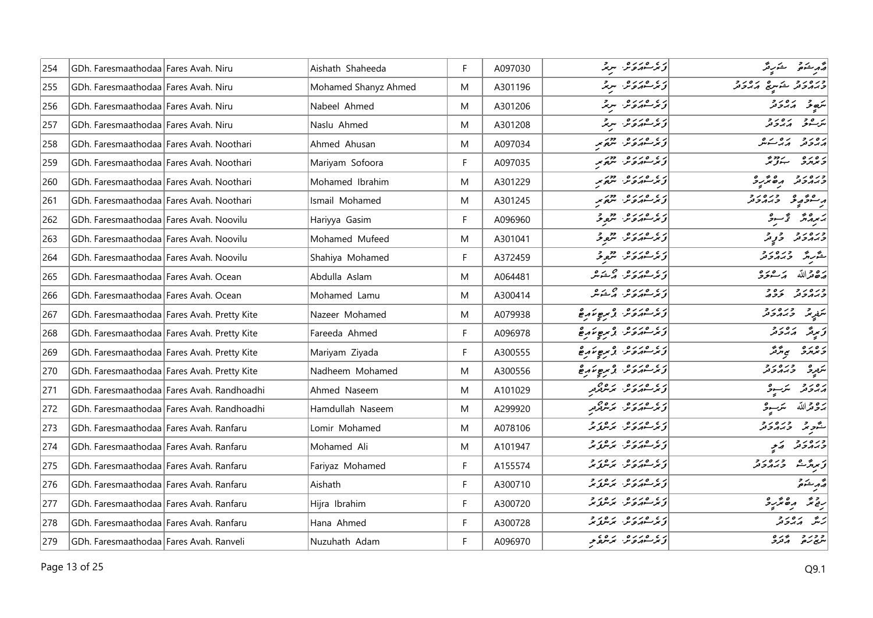| 254 | GDh. Faresmaathodaa Fares Avah. Niru     |                                             | Aishath Shaheeda     | F           | A097030 | ر ، قەرەر سەر                                                | مەر ئىكىمى ئىكەنىدىگر                          |
|-----|------------------------------------------|---------------------------------------------|----------------------|-------------|---------|--------------------------------------------------------------|------------------------------------------------|
| 255 | GDh. Faresmaathodaa Fares Avah. Niru     |                                             | Mohamed Shanyz Ahmed | M           | A301196 | ر ، قەرەر بىر                                                | ورەرو شەھ كەدرو                                |
| 256 | GDh. Faresmaathodaa Fares Avah. Niru     |                                             | Nabeel Ahmed         | M           | A301206 | ر ، قەررە بىر بىر                                            | سَهِ حَرَّمَ رَوْمَ رَحْمَ                     |
| 257 | GDh. Faresmaathodaa Fares Avah. Niru     |                                             | Naslu Ahmed          | M           | A301208 | ر ، قەرەر سەر                                                | يترك ومرور ورقر                                |
| 258 | GDh. Faresmaathodaa Fares Avah. Noothari |                                             | Ahmed Ahusan         | M           | A097034 | ر ، ق د د ه . د .                                            | رەرد روسىر                                     |
| 259 | GDh. Faresmaathodaa Fares Avah. Noothari |                                             | Mariyam Sofoora      | F           | A097035 | ر ، ق د د ه . دور                                            | سە ئەقرىمىگە<br>ر ه ر ه<br><del>ر</del> بربرگر |
| 260 | GDh. Faresmaathodaa Fares Avah. Noothari |                                             | Mohamed Ibrahim      | M           | A301229 |                                                              | כנים נים השתיכ                                 |
| 261 | GDh. Faresmaathodaa Fares Avah. Noothari |                                             | Ismail Mohamed       | M           | A301245 | ر ، ەررو. بەدىر                                              | ر عۇرپۇ دىرەرد                                 |
| 262 | GDh. Faresmaathodaa Fares Avah. Noovilu  |                                             | Hariyya Gasim        | F           | A096960 | ر ، ەررە . « - ?<br>ۋىرسى <i>ن ۋىر . س</i> ھو <del>ن</del> ى | أبر مرورش تخ سوفر                              |
| 263 | GDh. Faresmaathodaa Fares Avah. Noovilu  |                                             | Mohamed Mufeed       | M           | A301041 |                                                              | وره رو او و د                                  |
| 264 | GDh. Faresmaathodaa Fares Avah. Noovilu  |                                             | Shahiya Mohamed      | F           | A372459 | ر ، ق در و.<br>تو بر سهره بر بر مرد بر                       | مشرر وره دو                                    |
| 265 | GDh. Faresmaathodaa Fares Avah. Ocean    |                                             | Abdulla Aslam        | M           | A064481 | ىر ، ەررە ، كەشكىر                                           | رە داللە يەر دە                                |
| 266 | GDh. Faresmaathodaa Fares Avah. Ocean    |                                             | Mohamed Lamu         | M           | A300414 | ر ، ق دره می شد .<br>توسی از مرگ می کند                      | ور ه د و د و و<br><i>وبرورو د خ</i> ور         |
| 267 |                                          | GDh. Faresmaathodaa Fares Avah. Pretty Kite | Nazeer Mohamed       | M           | A079938 | ق محمد محمد المحمد والمحمد والمحمد                           | بتغرير وبرورو                                  |
| 268 |                                          | GDh. Faresmaathodaa Fares Avah. Pretty Kite | Fareeda Ahmed        | F           | A096978 | زي ورزه وبرءٍ بأمرةٍ                                         | وَسِيعٌ دَيْرَ مِنْ                            |
| 269 |                                          | GDh. Faresmaathodaa Fares Avah. Pretty Kite | Mariyam Ziyada       | E           | A300555 | ز، ورزه وبرونو                                               | د ۵ ر ۵ ر محمد تر                              |
| 270 |                                          | GDh. Faresmaathodaa Fares Avah. Pretty Kite | Nadheem Mohamed      | M           | A300556 | وبمسهوش وبرء بمره                                            | ورەر د<br><i>دى</i> رمەتر<br> سرمورد           |
| 271 |                                          | GDh. Faresmaathodaa Fares Avah. Randhoadhi  | Ahmed Naseem         | M           | A101029 |                                                              | دەرو ترىپو                                     |
| 272 |                                          | GDh. Faresmaathodaa Fares Avah. Randhoadhi  | Hamdullah Naseem     | M           | A299920 |                                                              | بروترالله سرجو                                 |
| 273 | GDh. Faresmaathodaa Fares Avah. Ranfaru  |                                             | Lomir Mohamed        | M           | A078106 | ر ، ەررە. برەر د                                             | و ره ر د<br><i>و بر</i> د تر<br>رمج و مر       |
| 274 | GDh. Faresmaathodaa Fares Avah. Ranfaru  |                                             | Mohamed Ali          | M           | A101947 | ر ، ق د ره .<br>تو <del>بر ۱</del> ۳۶۴ کرس                   | ورەرو كې                                       |
| 275 | GDh. Faresmaathodaa Fares Avah. Ranfaru  |                                             | Fariyaz Mohamed      | F           | A155574 | ر ، ق د ره .<br>تو تر سهرو تر . تر تر تر تر                  | و رە ر د<br><i>د بە</i> د تر<br>ۇ بىر بىر شە   |
| 276 | GDh. Faresmaathodaa Fares Avah. Ranfaru  |                                             | Aishath              | $\mathsf F$ | A300710 | ر ، ق د ره .<br>تو بر سهروش . برس تر                         | ۇ مەشقى<br>مەر                                 |
| 277 | GDh. Faresmaathodaa Fares Avah. Ranfaru  |                                             | Hijra Ibrahim        | F           | A300720 | ر ، ہ ر رہ میں بر ہ ر و<br>تو بر سهروش میں بر بر             | ارچ پژ<br>مەھترىرى                             |
| 278 | GDh. Faresmaathodaa Fares Avah. Ranfaru  |                                             | Hana Ahmed           | F           | A300728 | ر ، ق د ره .<br>تو بر سهرو تر بر سرگر بر                     | تر بھر دور و                                   |
| 279 | GDh. Faresmaathodaa Fares Avah. Ranveli  |                                             | Nuzuhath Adam        | F           | A096970 |                                                              | و ور و به ده<br>سرچ ره مرکزو                   |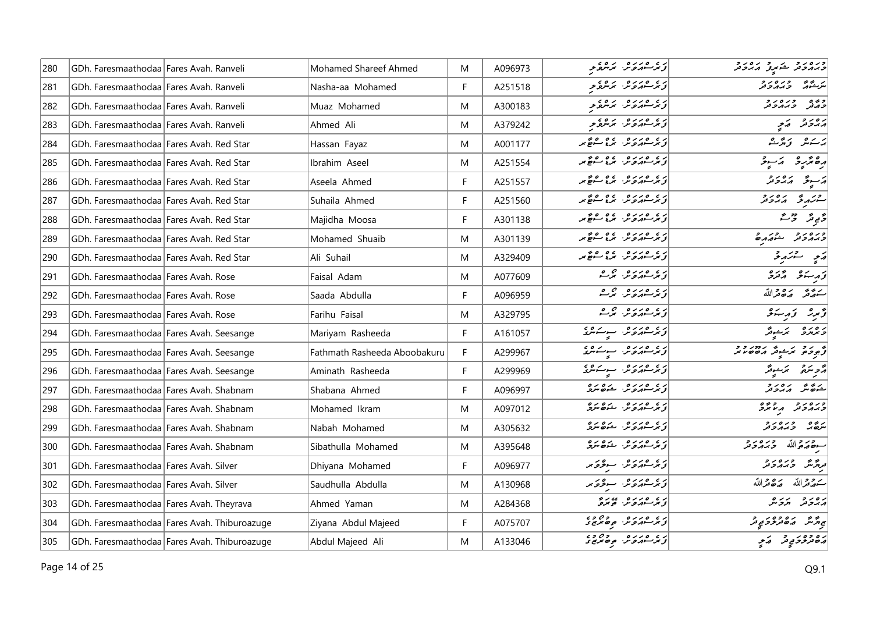| 280 | GDh. Faresmaathodaa Fares Avah. Ranveli  |                                              | Mohamed Shareef Ahmed        | M         | A096973 | ر ، ەررە، برە، پر                                           | ورەرو شەرۇ مەدەر                                                                                                                                                              |
|-----|------------------------------------------|----------------------------------------------|------------------------------|-----------|---------|-------------------------------------------------------------|-------------------------------------------------------------------------------------------------------------------------------------------------------------------------------|
| 281 | GDh. Faresmaathodaa Fares Avah. Ranveli  |                                              | Nasha-aa Mohamed             | F         | A251518 | ر ، ق دره د ره ، و                                          | ترششه وره رو<br>ترششهر وبردونر                                                                                                                                                |
| 282 | GDh. Faresmaathodaa Fares Avah. Ranveli  |                                              | Muaz Mohamed                 | M         | A300183 | ر ، ەررە بەرە ،                                             | و په وره رو<br><i>وم</i> نر <i>وب</i> مرونر                                                                                                                                   |
| 283 | GDh. Faresmaathodaa Fares Avah. Ranveli  |                                              | Ahmed Ali                    | M         | A379242 |                                                             | د د د د په د                                                                                                                                                                  |
| 284 | GDh. Faresmaathodaa Fares Avah. Red Star |                                              | Hassan Fayaz                 | M         | A001177 | ر ، ق دره ، ، ه ه ه و                                       | برسەش ئەبۇرشە                                                                                                                                                                 |
| 285 | GDh. Faresmaathodaa Fares Avah. Red Star |                                              | Ibrahim Aseel                | M         | A251554 | ر ، ق دره ، ، ، ق ع بر                                      | وە ئەر ئەسوق                                                                                                                                                                  |
| 286 | GDh. Faresmaathodaa Fares Avah. Red Star |                                              | Aseela Ahmed                 | F         | A251557 | ر ، ق د ره می ه ه ه ه پر<br>تو پر سهروس بر ، سوځ پر         | كەسىپىق كەبرىرى                                                                                                                                                               |
| 287 | GDh. Faresmaathodaa Fares Avah. Red Star |                                              | Suhaila Ahmed                | F         | A251560 | ر ، ق دره ، ، ، ق ع بر                                      | ستركر قريره دره                                                                                                                                                               |
| 288 | GDh. Faresmaathodaa Fares Avah. Red Star |                                              | Majidha Moosa                | F         | A301138 | ر ، ق دره ، ، ، ق ع بر                                      | دَّى مَرْ مَرْ مَدَّ                                                                                                                                                          |
| 289 | GDh. Faresmaathodaa Fares Avah. Red Star |                                              | Mohamed Shuaib               | M         | A301139 | ر ، ق دره ، ، ه ه ه ه د                                     | وره رو دره<br>وبروتر شودره                                                                                                                                                    |
| 290 | GDh. Faresmaathodaa Fares Avah. Red Star |                                              | Ali Suhail                   | M         | A329409 | ر ، ق دره ، ، ، ق ع مر                                      | أەيج سىمئەدى                                                                                                                                                                  |
| 291 | GDh. Faresmaathodaa Fares Avah. Rose     |                                              | Faisal Adam                  | M         | A077609 | ر ، ور رو. چې شر                                            | تەرىبىق ئەترە                                                                                                                                                                 |
| 292 | GDh. Faresmaathodaa Fares Avah. Rose     |                                              | Saada Abdulla                | F         | A096959 | ر ، قەرىر قىرىشى ھە                                         | حَقِيقَ صَدَّقَرَاللَّهُ                                                                                                                                                      |
| 293 | GDh. Faresmaathodaa Fares Avah. Rose     |                                              | Farihu Faisal                | M         | A329795 | ر ، قەرىر قىرىشى ھە                                         | أؤبرو أوربتك                                                                                                                                                                  |
| 294 | GDh. Faresmaathodaa Fares Avah. Seesange |                                              | Mariyam Rasheeda             | F         | A161057 | و ، ه د ده . سوستنده ،                                      | و ه د ه ه پخونگر                                                                                                                                                              |
| 295 | GDh. Faresmaathodaa Fares Avah. Seesange |                                              | Fathmath Rasheeda Aboobakuru | F         | A299967 | د ، ه دره. سوسه ده ،<br>د برسه پروس                         | و دو گرور دور دو<br>و دو گرور موسم                                                                                                                                            |
| 296 | GDh. Faresmaathodaa Fares Avah. Seesange |                                              | Aminath Rasheeda             | F         | A299969 | و د د دره سوسکرده د                                         | أأترج متكر مترسوقه                                                                                                                                                            |
| 297 | GDh. Faresmaathodaa Fares Avah. Shabnam  |                                              | Shabana Ahmed                | F         | A096997 | ر ، ہ ر رہ .<br>تو بر سهروس شوھ سرچ                         | شەڭ شەر دەر د                                                                                                                                                                 |
| 298 | GDh. Faresmaathodaa Fares Avah. Shabnam  |                                              | Mohamed Ikram                | M         | A097012 | ر ، ەررە بەھەرە                                             | כנסני הניים<br>כגהכת העיב                                                                                                                                                     |
| 299 | GDh. Faresmaathodaa Fares Avah. Shabnam  |                                              | Nabah Mohamed                | M         | A305632 | ر ، ٥ ر ر ٥ . ر ٥ ر ٥<br>زیر سهرویں شوھ سرچ                 | و رە ر د<br>تر پر گرىر<br>سرچ و                                                                                                                                               |
| 300 | GDh. Faresmaathodaa Fares Avah. Shabnam  |                                              | Sibathulla Mohamed           | M         | A395648 | ر ، ه د ره .<br>تو بر سهروس شوه مرد                         | ده دره الله وره دو                                                                                                                                                            |
| 301 | GDh. Faresmaathodaa Fares Avah. Silver   |                                              | Dhiyana Mohamed              | F         | A096977 | ر ، ق د ده.<br>تو بر سه د بود سود بر                        | و مرکز در در د<br>درگر کرد در                                                                                                                                                 |
| 302 | GDh. Faresmaathodaa Fares Avah. Silver   |                                              | Saudhulla Abdulla            | M         | A130968 | ى ئەرىرو. سوۋىر                                             | ڪوپرترالله<br>وكصقرالله                                                                                                                                                       |
| 303 | GDh. Faresmaathodaa Fares Avah. Theyrava |                                              | Ahmed Yaman                  | M         | A284368 | ر ، ەررە بەرد<br>ۋىرىسى ئوس ئ                               | גפנים גבית                                                                                                                                                                    |
| 304 |                                          | GDh. Faresmaathodaa Fares Avah. Thiburoazuge | Ziyana Abdul Majeed          | F         | A075707 | د ، ه د د ه ه و ه و ،<br><mark>ژ</mark> ند سهروش ه ه مربح د | ې تر شمېر ماره چې تر او د مخپر تر او د کلي تر او د کلي لري.<br>موضوع د سر مار شمېر شمېر شمېر د موضوع تر د موضوع موضوع موضوع موضوع موضوع کړي کلي کلي کلي کلي کلي کلي کلي کلي ک |
| 305 |                                          | GDh. Faresmaathodaa Fares Avah. Thiburoazuge | Abdul Majeed Ali             | ${\sf M}$ | A133046 | د ، ه د ره مسیح و ، د ،<br><mark>ز</mark> تد سه مرض موضع پر | ג 2006 בקברה הב                                                                                                                                                               |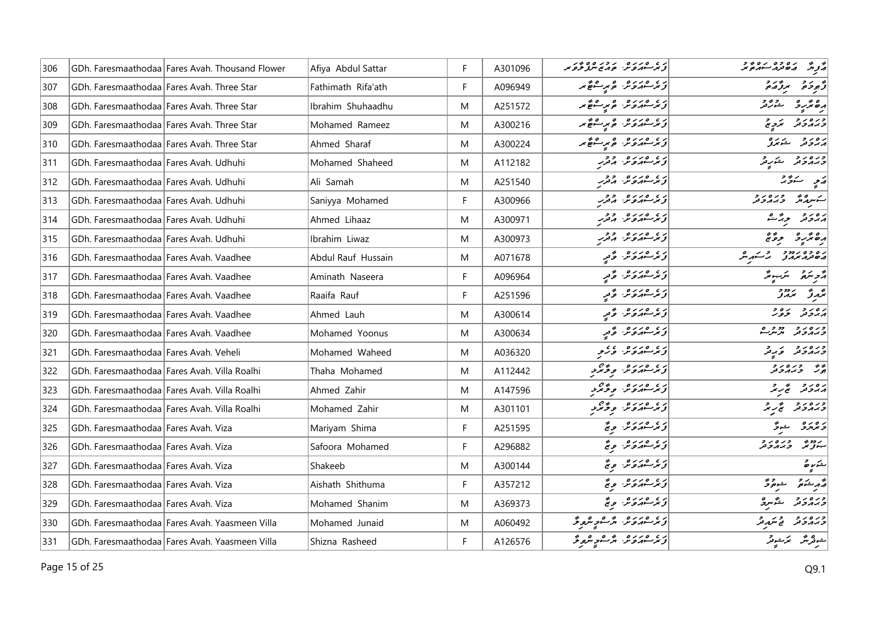| 306 |                                         | GDh. Faresmaathodaa Fares Avah. Thousand Flower | Afiya Abdul Sattar | F | A301096 | ر ، ه د ره مر د ره ه ه د .<br>تو بر سهروس ه د بي سرتونو بر | גם כם גם 2 כ<br>גיש <i>ע</i> ג — יות בי <i>צ</i><br>ړ تو پژ |
|-----|-----------------------------------------|-------------------------------------------------|--------------------|---|---------|------------------------------------------------------------|-------------------------------------------------------------|
| 307 |                                         | GDh. Faresmaathodaa Fares Avah. Three Star      | Fathimath Rifa'ath | F | A096949 | ر ، ه دره ه ه در ه ه د                                     | بروٌمهُ و<br>و څو څه د                                      |
| 308 |                                         | GDh. Faresmaathodaa Fares Avah. Three Star      | Ibrahim Shuhaadhu  | M | A251572 | د ، ه د د ه ، ه مړت ع مر<br>  د مر - د د ه ر ، ه مړت ع مر  | ە ھەترىرى<br>رەھىرىرى<br>ے جمہ حر                           |
| 309 |                                         | GDh. Faresmaathodaa Fares Avah. Three Star      | Mohamed Rameez     | M | A300216 |                                                            | و ر ه ر د<br>د بر پر تر<br>تمریخ                            |
| 310 |                                         | GDh. Faresmaathodaa Fares Avah. Three Star      | Ahmed Sharaf       | M | A300224 | ری مربره می ویرسفیم                                        | رەرد شەرە                                                   |
| 311 | GDh. Faresmaathodaa Fares Avah. Udhuhi  |                                                 | Mohamed Shaheed    | M | A112182 | تر بر ۱۳۵۵ و د ور                                          | ورەرو شەرىر                                                 |
| 312 | GDh. Faresmaathodaa Fares Avah. Udhuhi  |                                                 | Ali Samah          | M | A251540 | ر ، ے پر د و . د ور                                        | أەيج سىۋەر                                                  |
| 313 | GDh. Faresmaathodaa Fares Avah. Udhuhi  |                                                 | Saniyya Mohamed    | F | A300966 | ر ، ق د د ه . د و .                                        | سكسماء وره دو                                               |
| 314 | GDh. Faresmaathodaa Fares Avah. Udhuhi  |                                                 | Ahmed Lihaaz       | M | A300971 | د پره و د د و د ور                                         | رەرد ورگ                                                    |
| 315 | GDh. Faresmaathodaa Fares Avah. Udhuhi  |                                                 | Ibrahim Liwaz      | M | A300973 | د پره و د د و د ور                                         | و ځای<br>ەرھەترىر <sup>ە</sup>                              |
| 316 | GDh. Faresmaathodaa Fares Avah. Vaadhee |                                                 | Abdul Rauf Hussain | M | A071678 | ر ، ەررە . ئۇير                                            | גם כם גדבר כביר כ                                           |
| 317 | GDh. Faresmaathodaa Fares Avah. Vaadhee |                                                 | Aminath Naseera    | F | A096964 | د ، ، ه د ر ه .<br>  د بر سهره ند . ه د په                 | ۇرچىدە سىبدىگە                                              |
| 318 | GDh. Faresmaathodaa Fares Avah. Vaadhee |                                                 | Raaifa Rauf        | F | A251596 | تر پر ۱۳۵۵ گرمی                                            | برّه و بردود                                                |
| 319 | GDh. Faresmaathodaa Fares Avah. Vaadhee |                                                 | Ahmed Lauh         | M | A300614 | ر ، ہ ر ر ہ ۔ وَ پر                                        | رە رە بەە 2<br>مەركىيە كەن                                  |
| 320 | GDh. Faresmaathodaa Fares Avah. Vaadhee |                                                 | Mohamed Yoonus     | M | A300634 | ر ، ، ، ، ، ، ، وَ پر                                      | כנסנכ מכם<br><i>כג</i> ובט ו <i>נ</i> ית                    |
| 321 | GDh. Faresmaathodaa Fares Avah. Veheli  |                                                 | Mohamed Waheed     | M | A036320 | ر ، ەررە ، ، ،                                             | ورەر دىر دېر                                                |
| 322 |                                         | GDh. Faresmaathodaa Fares Avah. Villa Roalhi    | Thaha Mohamed      | M | A112442 | ر ، ہ ر ر ہ . و محمد .                                     | په دره د د<br>چرگ د برونر                                   |
| 323 |                                         | GDh. Faresmaathodaa Fares Avah. Villa Roalhi    | Ahmed Zahir        | M | A147596 | <br>  تەسەم ئەرەبىر موقومىزىيە                             | رەرو ئېرىز                                                  |
| 324 |                                         | GDh. Faresmaathodaa Fares Avah. Villa Roalhi    | Mohamed Zahir      | M | A301101 | د ، ه د ره. و و ه.                                         | ورەر دېم پې پر                                              |
| 325 | GDh. Faresmaathodaa Fares Avah. Viza    |                                                 | Mariyam Shima      | F | A251595 | ر ، ٥٠٠٥ و ،                                               | شدگر<br>ر ه ر ه<br><del>د</del> بربرگ                       |
| 326 | GDh. Faresmaathodaa Fares Avah. Viza    |                                                 | Safoora Mohamed    | F | A296882 | ىر ئەرگە ئەرگە ئەس                                         | و رە ر د<br>تر پروتر<br>سەدىرىپىتىر                         |
| 327 | GDh. Faresmaathodaa Fares Avah. Viza    |                                                 | Shakeeb            | M | A300144 | ر ، ەررە<br>توپرسى <i>ن ھارىش ھ</i>                        | شەرە<br>ئ                                                   |
| 328 | GDh. Faresmaathodaa Fares Avah. Viza    |                                                 | Aishath Shithuma   | F | A357212 | تە ئەمەر ئەستىن ئونى                                       | ر<br>پر ديڪو<br>شوە ۋ                                       |
| 329 | GDh. Faresmaathodaa Fares Avah. Viza    |                                                 | Mohamed Shanim     | M | A369373 | ر ، قراره و ،                                              | ورەرو شەرو                                                  |
| 330 |                                         | GDh. Faresmaathodaa Fares Avah. Yaasmeen Villa  | Mohamed Junaid     | M | A060492 | ر، ەررە بۇسوپىرىدۇ                                         | ورەرو وردو                                                  |
| 331 |                                         | GDh. Faresmaathodaa Fares Avah. Yaasmeen Villa  | Shizna Rasheed     | F | A126576 |                                                            | سونئرمگر    مَرْسُوِنْتُر                                   |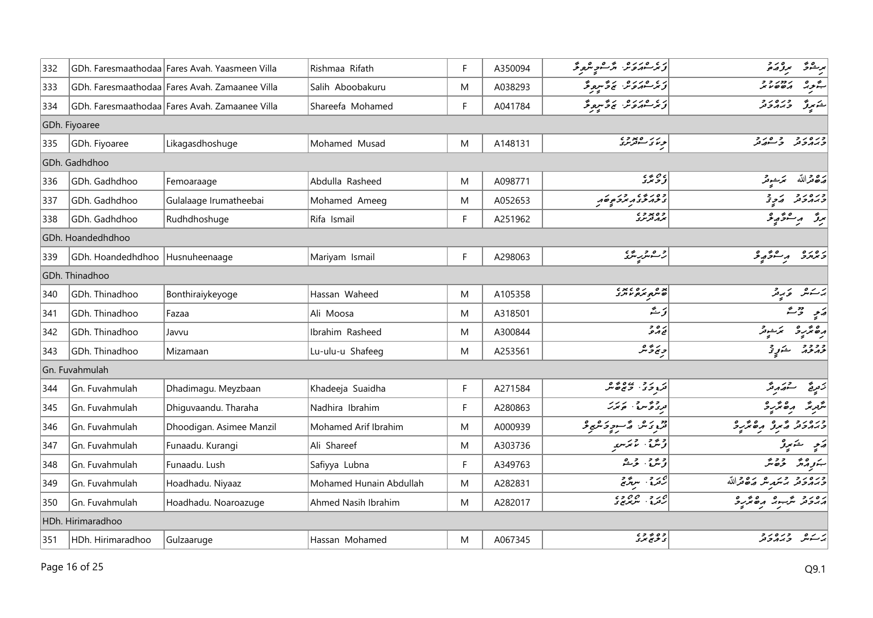| 332 |                                 | GDh. Faresmaathodaa Fares Avah. Yaasmeen Villa | Rishmaa Rifath          | F         | A350094 | زی ق دره پژگوچ شروعٌ                         | ه د د د<br>مرو پر د<br> بريشونخ<br>  <u>ب</u>   |
|-----|---------------------------------|------------------------------------------------|-------------------------|-----------|---------|----------------------------------------------|-------------------------------------------------|
| 333 |                                 | GDh. Faresmaathodaa Fares Avah. Zamaanee Villa | Salih Aboobakuru        | M         | A038293 |                                              | 77777<br>يڈىرچ                                  |
| 334 |                                 | GDh. Faresmaathodaa Fares Avah. Zamaanee Villa | Shareefa Mohamed        | F         | A041784 | ر، ورزه برځسوځه                              | و رە ر د<br><i>د بە</i> گەر<br>ىش <i>تىرۇ</i> گ |
|     | GDh. Fiyoaree                   |                                                |                         |           |         |                                              |                                                 |
| 335 | GDh. Fiyoaree                   | Likagasdhoshuge                                | Mohamed Musad           | M         | A148131 | ر ر ر ه پر و ،<br>و د کار سوتورو             | כנסנכ כסנכ<br><i>כמ</i> תכת כ-ימב               |
|     | GDh. Gadhdhoo                   |                                                |                         |           |         |                                              |                                                 |
| 336 | GDh. Gadhdhoo                   | Femoaraage                                     | Abdulla Rasheed         | M         | A098771 | ړ بر پر پر<br>تونو مرد                       | رەقراللە كمەسىر                                 |
| 337 | GDh. Gadhdhoo                   | Gulalaage Irumatheebai                         | Mohamed Ameeg           | M         | A052653 | وه روء پرېځ و ځمر                            | כנסני הביצ                                      |
| 338 | GDh. Gadhdhoo                   | Rudhdhoshuge                                   | Rifa Ismail             | F         | A251962 | و ه پو و ،<br>بوړ توسری                      | ىرۇ برىشۇرچۇ                                    |
|     | GDh. Hoandedhdhoo               |                                                |                         |           |         |                                              |                                                 |
| 339 | GDh. Hoandedhdhoo Husnuheenaage |                                                | Mariyam Ismail          | F         | A298063 | ر مەش <i>رى</i> رىنىڭ                        | בינוכ גליביב                                    |
|     | GDh. Thinadhoo                  |                                                |                         |           |         |                                              |                                                 |
| 340 | GDh. Thinadhoo                  | Bonthiraiykeyoge                               | Hassan Waheed           | M         | A105358 | پر و بر و ی پر ی<br>صندہ مرمونو ار           | يزسكش المتحامية فمرا                            |
| 341 | GDh. Thinadhoo                  | Fazaa                                          | Ali Moosa               | M         | A318501 | ۇ ئە                                         | $\frac{27}{2}$ $\frac{1}{2}$                    |
| 342 | GDh. Thinadhoo                  | Javvu                                          | Ibrahim Rasheed         | M         | A300844 | ر ه و<br>قع مرح                              | ەھ <i>ترى</i> رى ئەسىم<br>مەھترىرى ئىشىم        |
| 343 | GDh. Thinadhoo                  | Mizamaan                                       | Lu-ulu-u Shafeeg        | M         | A253561 | جە ئەڭر                                      | وووو شكورة                                      |
|     | Gn. Fuvahmulah                  |                                                |                         |           |         |                                              |                                                 |
| 344 | Gn. Fuvahmulah                  | Dhadimagu. Meyzbaan                            | Khadeeja Suaidha        | F         | A271584 | ر رو پیموړه.                                 | ر <i>ُ</i> درِجٌ سُنهُ درگر                     |
| 345 | Gn. Fuvahmulah                  | Dhiguvaandu. Tharaha                           | Nadhira Ibrahim         | F         | A280863 | وړه شوه . کولوړ ک                            | ىئىرىئە<br>ە ھەترىرى<br>برھەترىرى               |
| 346 | Gn. Fuvahmulah                  | Dhoodigan. Asimee Manzil                       | Mohamed Arif Ibrahim    | M         | A000939 | قرو ئەنگەن ئۇسوچە ئىرىدى ئى                  | כנסנב בי ס"ק ס"ק<br>במהכת היתר הסיקיב           |
| 347 | Gn. Fuvahmulah                  | Funaadu. Kurangi                               | Ali Shareef             | M         | A303736 | ۇيۇم مۇسى <sub>ر</sub>                       | ړې خېږو                                         |
| 348 | Gn. Fuvahmulah                  | Funaadu. Lush                                  | Safiyya Lubna           | F         | A349763 | ۇ ئىرى ئۇيشە                                 | ب وه ده ده ش                                    |
| 349 | Gn. Fuvahmulah                  | Hoadhadu. Niyaaz                               | Mohamed Hunain Abdullah | M         | A282831 | ج پر ج.<br>سورچ - سرمرسم                     | ورەرو چىركىرىش كەھەرللە                         |
| 350 | Gn. Fuvahmulah                  | Hoadhadu. Noaroazuge                           | Ahmed Nasih Ibrahim     | ${\sf M}$ | A282017 | ان په چې چې د په ځاندن کې د په ځاندن کې د لر | رەرد شبەر رەشرو                                 |
|     | HDh. Hirimaradhoo               |                                                |                         |           |         |                                              |                                                 |
| 351 | HDh. Hirimaradhoo               | Gulzaaruge                                     | Hassan Mohamed          | M         | A067345 | و ه پر و ء<br>د نومځ مرد                     | يركسن وره دو                                    |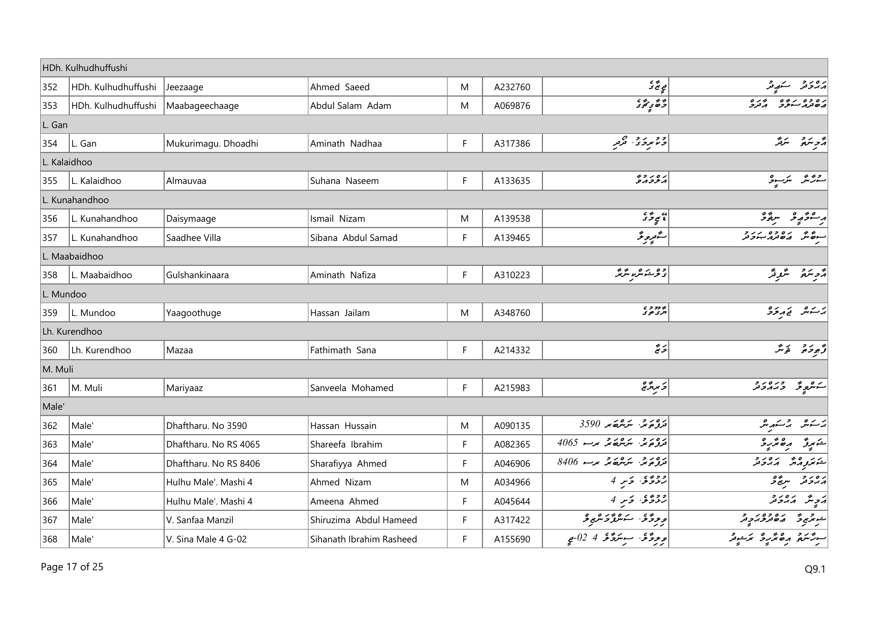|              | HDh. Kulhudhuffushi |                       |                          |             |         |                                                    |                                                                                                                                                                                                                                 |
|--------------|---------------------|-----------------------|--------------------------|-------------|---------|----------------------------------------------------|---------------------------------------------------------------------------------------------------------------------------------------------------------------------------------------------------------------------------------|
| 352          | HDh. Kulhudhuffushi | Jeezaage              | Ahmed Saeed              | M           | A232760 | جي پچ ک                                            | ړه رو شهره                                                                                                                                                                                                                      |
| 353          | HDh. Kulhudhuffushi | Maabageechaage        | Abdul Salam Adam         | ${\sf M}$   | A069876 | د څو په نو د                                       | ره وه د په د پره<br>پره تربر سرخر د برترج                                                                                                                                                                                       |
| L. Gan       |                     |                       |                          |             |         |                                                    |                                                                                                                                                                                                                                 |
| 354          | L. Gan              | Mukurimagu. Dhoadhi   | Aminath Nadhaa           | F           | A317386 | 3 متر تر دي.<br>حسم سر تر تر تر مر                 | أأرجب المتعجم المترقد                                                                                                                                                                                                           |
| L. Kalaidhoo |                     |                       |                          |             |         |                                                    |                                                                                                                                                                                                                                 |
| 355          | L. Kalaidhoo        | Almauvaa              | Suhana Naseem            | $\mathsf F$ | A133635 | ر ه ر د و<br>پر <del>و</del> پر و                  | للمرته تربيع                                                                                                                                                                                                                    |
|              | L. Kunahandhoo      |                       |                          |             |         |                                                    |                                                                                                                                                                                                                                 |
| 356          | L. Kunahandhoo      | Daisymaage            | Ismail Nizam             | M           | A139538 | )، سمج تر د                                        | و عرض عدد عدد العرض العرض العرض العرض العرض العرض العرض العرض العرض العرض العرض العرض العرض العرض العرض العرض<br>العرض العرض العرض العرض العرض العرض العرض العرض العرض العرض العرض العرض العرض العرض العرض العرض العرض العرض ال |
| 357          | L. Kunahandhoo      | Saadhee Villa         | Sibana Abdul Samad       | F           | A139465 | سە دېرىر ئۇ                                        |                                                                                                                                                                                                                                 |
|              | L. Maabaidhoo       |                       |                          |             |         |                                                    |                                                                                                                                                                                                                                 |
| 358          | L. Maabaidhoo       | Gulshankinaara        | Aminath Nafiza           | $\mathsf F$ | A310223 | د و شهر شرش                                        | أأترج مكتفح المتفرقين                                                                                                                                                                                                           |
| L. Mundoo    |                     |                       |                          |             |         |                                                    |                                                                                                                                                                                                                                 |
| 359          | L. Mundoo           | Yaagoothuge           | Hassan Jailam            | M           | A348760 | پر دو د ع<br>پر پی می بی                           | بر کے مرکز                                                                                                                                                                                                                      |
|              | Lh. Kurendhoo       |                       |                          |             |         |                                                    |                                                                                                                                                                                                                                 |
| 360          | Lh. Kurendhoo       | Mazaa                 | Fathimath Sana           | $\mathsf F$ | A214332 | ريح                                                | قەم قىقىدىگە                                                                                                                                                                                                                    |
| M. Muli      |                     |                       |                          |             |         |                                                    |                                                                                                                                                                                                                                 |
| 361          | M. Muli             | Mariyaaz              | Sanveela Mohamed         | F           | A215983 | 5 سرچرمج                                           | ر وره در در د                                                                                                                                                                                                                   |
| Male'        |                     |                       |                          |             |         |                                                    |                                                                                                                                                                                                                                 |
| 362          | Male'               | Dhaftharu. No 3590    | Hassan Hussain           | M           | A090135 | تروم تر شرش سر 3590                                | برستقر برسكره                                                                                                                                                                                                                   |
| 363          | Male'               | Dhaftharu. No RS 4065 | Shareefa Ibrahim         | $\mathsf F$ | A082365 | رەرى ئەنگەشقە ئەسە 4065                            | شرير رەممرى                                                                                                                                                                                                                     |
| 364          | Male'               | Dhaftharu. No RS 8406 | Sharafiyya Ahmed         | F           | A046906 | ترۇم تە. ئىر شەھ تە سە 8406                        | شكروه كالمرورد                                                                                                                                                                                                                  |
| 365          | Male'               | Hulhu Male'. Mashi 4  | Ahmed Nizam              | M           | A034966 | وووي. <sub>قرس</sub> 4                             | برەر د سرگاو                                                                                                                                                                                                                    |
| 366          | Male'               | Hulhu Male'. Mashi 4  | Ameena Ahmed             | F           | A045644 | وووي. <sub>قر</sub> مبر 4                          | أروبتر أرورو                                                                                                                                                                                                                    |
| 367          | Male'               | V. Sanfaa Manzil      | Shiruzima Abdul Hameed   | F           | A317422 | مروتكى سىمىر دىمبىتى ئى                            | جويزيو وكالمرور والمر                                                                                                                                                                                                           |
| 368          | Male'               | V. Sina Male 4 G-02   | Sihanath Ibrahim Rasheed | F           | A155690 | ح د د د . سوسَرَدَّ د 2 02-يو $\boxed{\phantom{a}$ | سرشره رە ئرىرو برشونر                                                                                                                                                                                                           |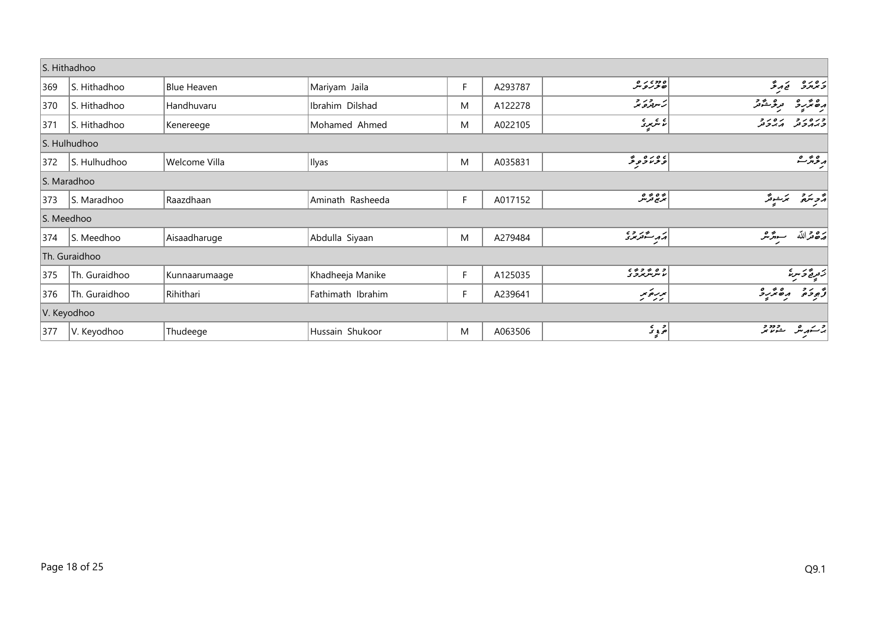|     | S. Hithadhoo  |                    |                   |   |         |                                              |                                                                      |
|-----|---------------|--------------------|-------------------|---|---------|----------------------------------------------|----------------------------------------------------------------------|
| 369 | S. Hithadhoo  | <b>Blue Heaven</b> | Mariyam Jaila     | F | A293787 | ه دوی ر ه<br><i>ه مور</i> و مگ               | ر ه ر ه<br><del>و</del> بربرو<br>تے پر تخ                            |
| 370 | S. Hithadhoo  | Handhuvaru         | Ibrahim Dilshad   | M | A122278 | ر سرچ کر جر<br>مربو <i>نو</i> تر             | ەھ ئرىر ۋ<br>ىر ئۇشگەر<br>$\mathcal{L}$                              |
| 371 | S. Hithadhoo  | Kenereege          | Mohamed Ahmed     | M | A022105 | ءَ مٿر ببري                                  | و ر ه ر د<br>و بر پر تر<br>بر ه بر د<br>م <i>ر</i> بر <del>د</del> ر |
|     | S. Hulhudhoo  |                    |                   |   |         |                                              |                                                                      |
| 372 | S. Hulhudhoo  | Welcome Villa      | Ilyas             | M | A035831 | ، ەرە دۇ                                     | ەر ۋېژىشە                                                            |
|     | S. Maradhoo   |                    |                   |   |         |                                              |                                                                      |
| 373 | S. Maradhoo   | Raazdhaan          | Aminath Rasheeda  | F | A017152 | پره پر مر<br>برې تر مر                       | أأزو سكافه المحرسفوقكر                                               |
|     | S. Meedhoo    |                    |                   |   |         |                                              |                                                                      |
| 374 | S. Meedhoo    | Aisaadharuge       | Abdulla Siyaan    | M | A279484 | د ر شور و ،<br>د د ستوتربو و                 | پر <b>ص</b> حرالله<br>سەدىگە                                         |
|     | Th. Guraidhoo |                    |                   |   |         |                                              |                                                                      |
| 375 | Th. Guraidhoo | Kunnaarumaage      | Khadheeja Manike  | F | A125035 | و ه پر و د ،<br>ما مگرمتر <del>ب</del> ر و ی | ئەندىقى كەسرىئا                                                      |
| 376 | Th. Guraidhoo | Rihithari          | Fathimath Ibrahim | F | A239641 | ىررە ئو<br>رىر                               | ەھ ئۈرۈ<br>وٌ جو تر تر                                               |
|     | V. Keyodhoo   |                    |                   |   |         |                                              |                                                                      |
| 377 | V. Keyodhoo   | Thudeege           | Hussain Shukoor   | M | A063506 | د<br>موڊر                                    | ر د د د<br>شور نمر<br>بر سے مد میں                                   |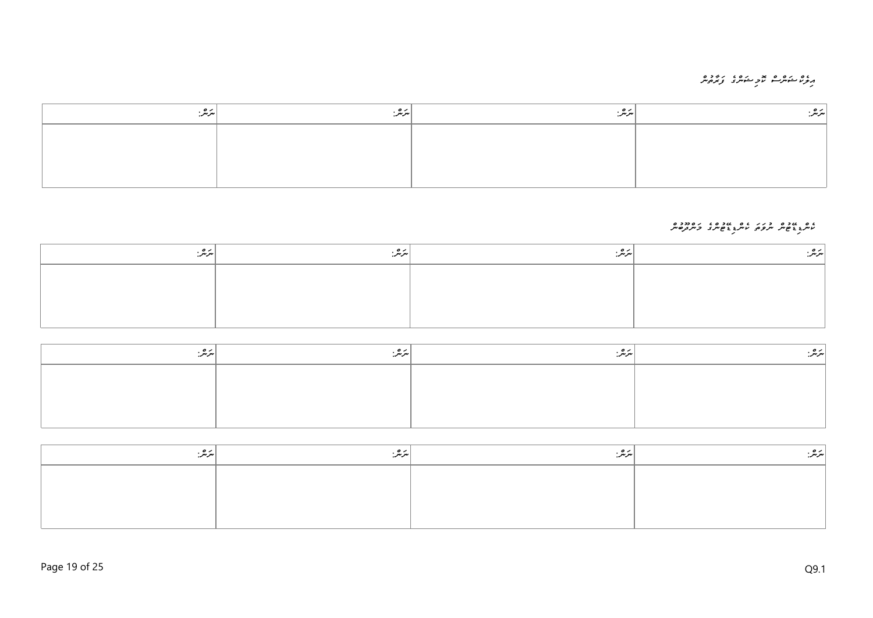## *w7qAn8m? sCw7mRo>u; wEw7mRw;sBo<*

| ' مرمر | 'يئرىثر: |
|--------|----------|
|        |          |
|        |          |
|        |          |

## *w7q9r@w7m> sCw7qHtFoFw7s; mAm=q7 w7qHtFoFw7s;*

| يئرمىش: | $^{\circ}$<br>. سر سر<br>$\cdot$ | $\circ$ $\sim$<br>-- | يئرمثر |
|---------|----------------------------------|----------------------|--------|
|         |                                  |                      |        |
|         |                                  |                      |        |
|         |                                  |                      |        |

| انترنثر: | $^{\circ}$ | يبرهر | $^{\circ}$<br>سرسر |
|----------|------------|-------|--------------------|
|          |            |       |                    |
|          |            |       |                    |
|          |            |       |                    |

| ىرتىر: | 。<br>سر سر | .,<br>مرسر |
|--------|------------|------------|
|        |            |            |
|        |            |            |
|        |            |            |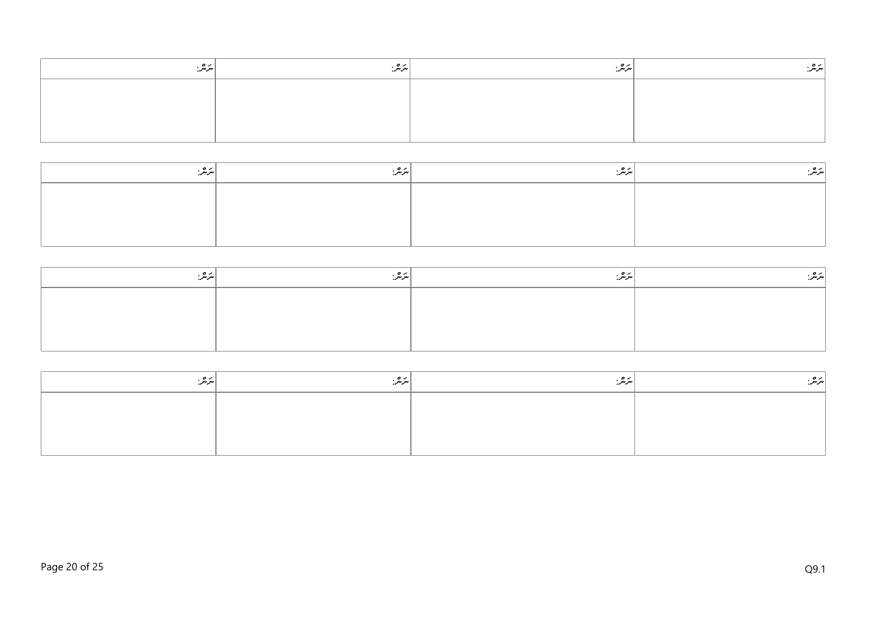| يزهر | $^{\circ}$ | ىئرىتر: |  |
|------|------------|---------|--|
|      |            |         |  |
|      |            |         |  |
|      |            |         |  |

| متريثر به | 。<br>'سرسر'۔ | يتزيترا | سرسر |
|-----------|--------------|---------|------|
|           |              |         |      |
|           |              |         |      |
|           |              |         |      |

| ىئرىتر. | $\sim$ | ا بر هه. | لىرىش |
|---------|--------|----------|-------|
|         |        |          |       |
|         |        |          |       |
|         |        |          |       |

| 。<br>مرس. | $\overline{\phantom{a}}$<br>مر مىر | يتريثر |
|-----------|------------------------------------|--------|
|           |                                    |        |
|           |                                    |        |
|           |                                    |        |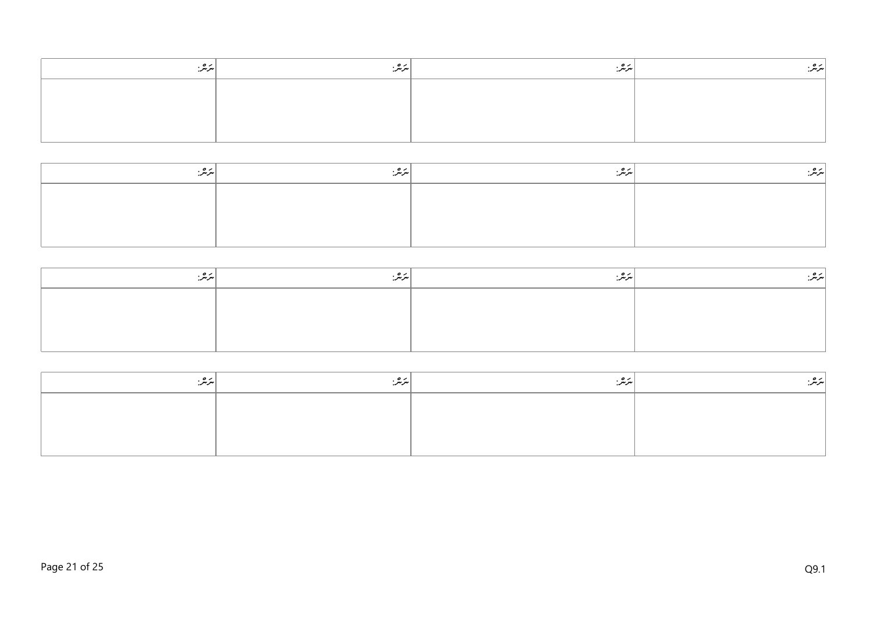| ير هو . | $\overline{\phantom{a}}$ | يرمر | اير هنه. |
|---------|--------------------------|------|----------|
|         |                          |      |          |
|         |                          |      |          |
|         |                          |      |          |

| ىر تىر: | $\circ$ $\sim$<br>" سرسر . | يترمير | o . |
|---------|----------------------------|--------|-----|
|         |                            |        |     |
|         |                            |        |     |
|         |                            |        |     |

| 'تترنثر: | 。<br>,,,, |  |
|----------|-----------|--|
|          |           |  |
|          |           |  |
|          |           |  |

|  | . ه |
|--|-----|
|  |     |
|  |     |
|  |     |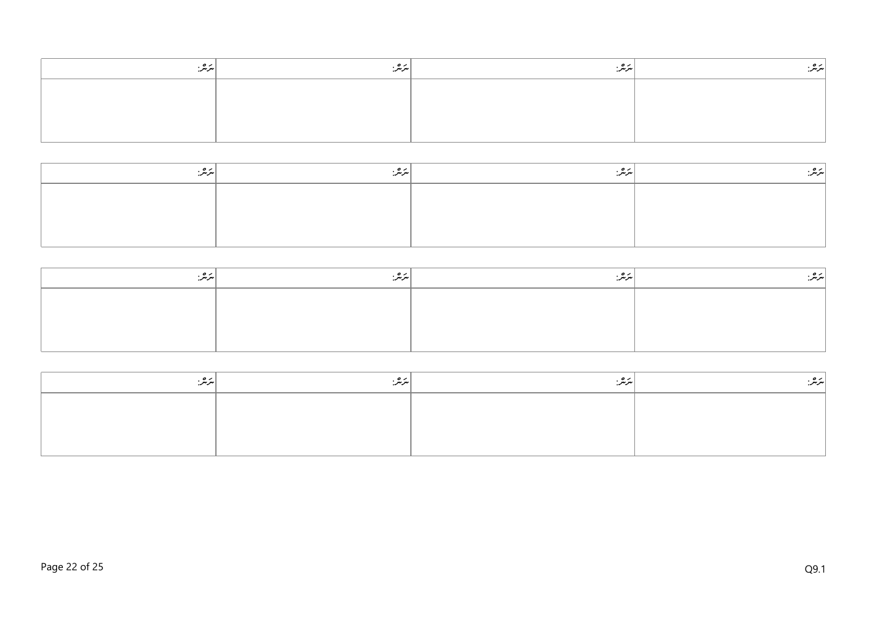| ير هو . | $\overline{\phantom{a}}$ | يرمر | اير هنه. |
|---------|--------------------------|------|----------|
|         |                          |      |          |
|         |                          |      |          |
|         |                          |      |          |

| ىر تىر: | $\circ$ $\sim$<br>" سرسر . | يترمير | o . |
|---------|----------------------------|--------|-----|
|         |                            |        |     |
|         |                            |        |     |
|         |                            |        |     |

| 'تترنثر: | ر ه |  |
|----------|-----|--|
|          |     |  |
|          |     |  |
|          |     |  |

|  | . ه |
|--|-----|
|  |     |
|  |     |
|  |     |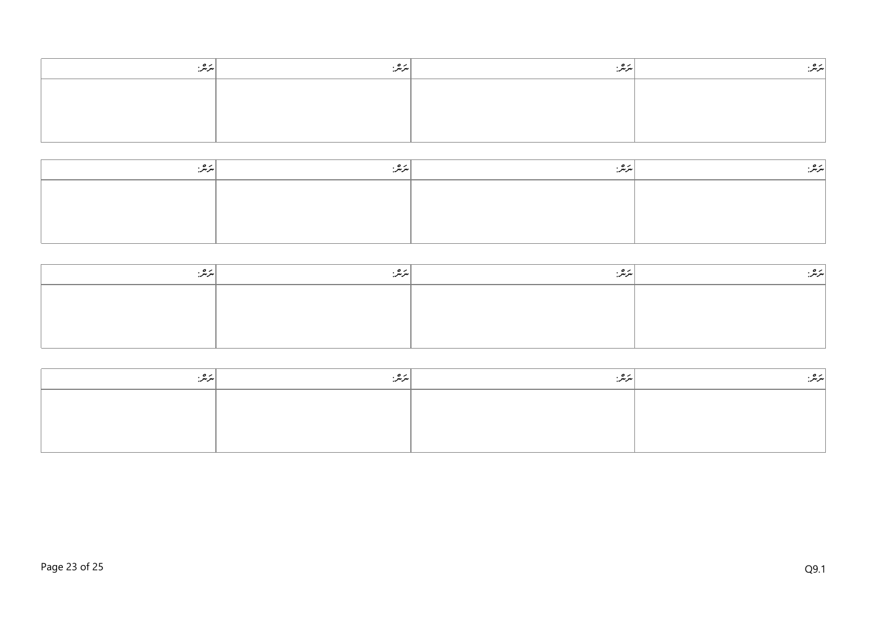| $\cdot$ | 。 | $\frac{\circ}{\cdot}$ | $\sim$<br>سرسر |
|---------|---|-----------------------|----------------|
|         |   |                       |                |
|         |   |                       |                |
|         |   |                       |                |

| ايرعر: | ر ه<br>. . |  |
|--------|------------|--|
|        |            |  |
|        |            |  |
|        |            |  |

| بر ه | . ه | $\overline{\phantom{0}}$<br>سرسر |  |
|------|-----|----------------------------------|--|
|      |     |                                  |  |
|      |     |                                  |  |
|      |     |                                  |  |

| 。<br>. س | ىرىىر |  |
|----------|-------|--|
|          |       |  |
|          |       |  |
|          |       |  |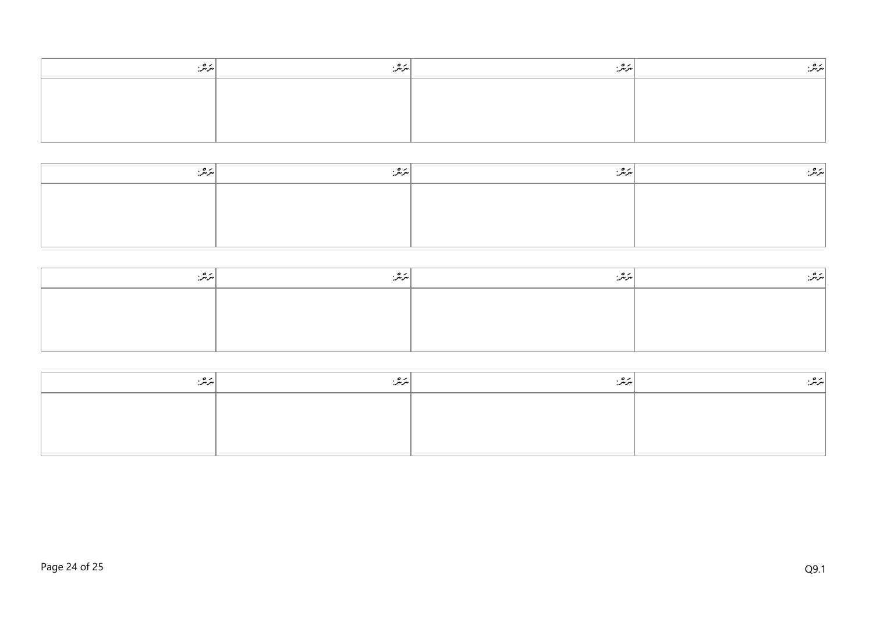| ير هو . | $\overline{\phantom{a}}$ | يرمر | اير هنه. |
|---------|--------------------------|------|----------|
|         |                          |      |          |
|         |                          |      |          |
|         |                          |      |          |

| ىر تىر: | $\circ$ $\sim$<br>" سرسر . | يترمير | o . |
|---------|----------------------------|--------|-----|
|         |                            |        |     |
|         |                            |        |     |
|         |                            |        |     |

| ابترىثر: | $\sim$<br>. . |  |
|----------|---------------|--|
|          |               |  |
|          |               |  |
|          |               |  |

|  | . ه |
|--|-----|
|  |     |
|  |     |
|  |     |